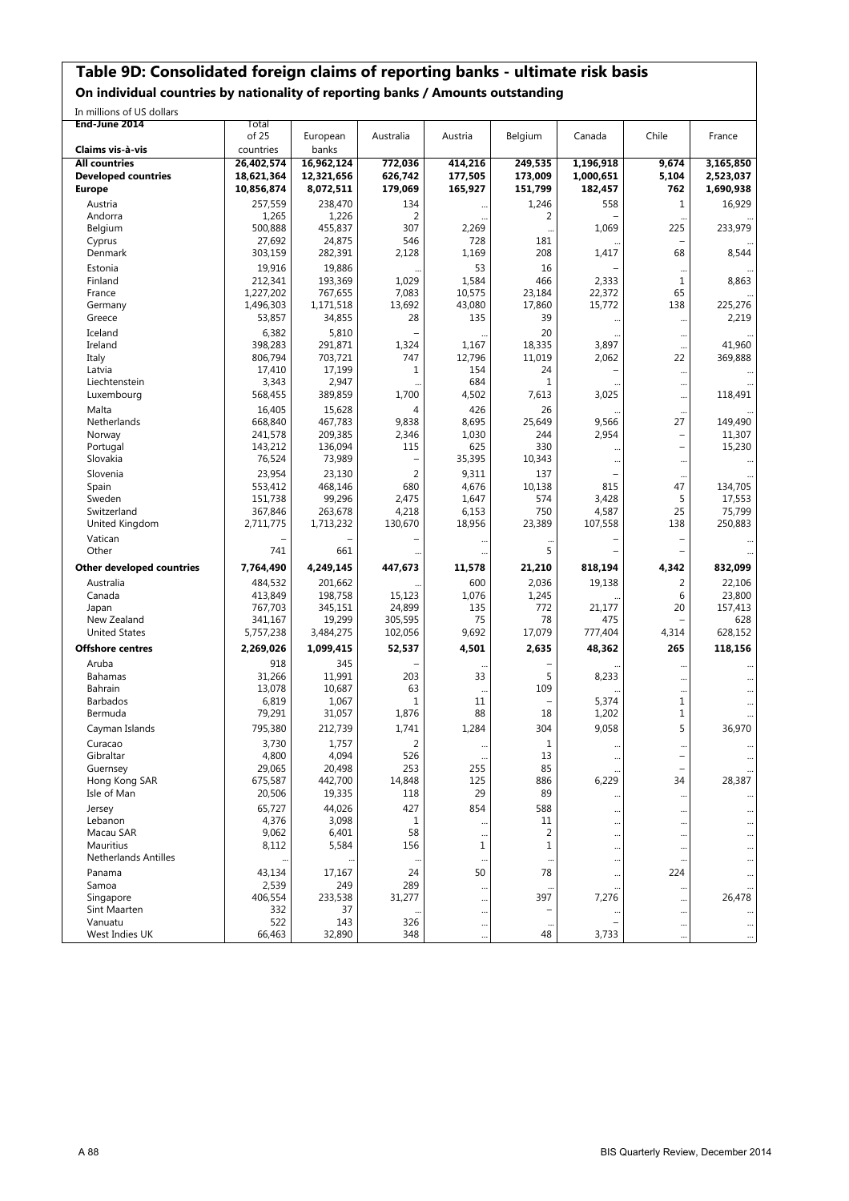### **Table 9D: Consolidated foreign claims of reporting banks - ultimate risk basis**

**On individual countries by nationality of reporting banks / Amounts outstanding**

In millions of US dollars

| End-June 2014               | Total             |                   |                |              |                    |           |                          |           |
|-----------------------------|-------------------|-------------------|----------------|--------------|--------------------|-----------|--------------------------|-----------|
|                             | of 25             | European          | Australia      | Austria      | Belgium            | Canada    | Chile                    | France    |
| Claims vis à vis            | countries         | banks             |                |              |                    |           |                          |           |
| <b>All countries</b>        | 26,402,574        | 16,962,124        | 772,036        | 414,216      | 249,535            | 1,196,918 | 9.674                    | 3,165,850 |
| <b>Developed countries</b>  | 18,621,364        | 12,321,656        | 626,742        | 177,505      | 173,009            | 1,000,651 | 5,104                    | 2,523,037 |
| <b>Europe</b>               | 10,856,874        | 8,072,511         | 179,069        | 165,927      | 151,799            | 182,457   | 762                      | 1,690,938 |
| Austria                     | 257,559           | 238,470           | 134            |              | 1,246              | 558       | $\mathbf{1}$             | 16,929    |
| Andorra                     | 1,265             | 1,226             | 2              |              | 2                  |           |                          |           |
| Belgium                     | 500,888           | 455,837           | 307            | 2,269        |                    | 1,069     | 225                      | 233,979   |
| Cyprus                      | 27,692            | 24,875            | 546            | 728          | 181                |           |                          |           |
| Denmark                     | 303,159           | 282,391           | 2,128          | 1,169        | 208                | 1,417     | 68                       | 8,544     |
| Estonia                     | 19,916            | 19,886            |                | 53           | 16                 |           |                          |           |
| Finland                     | 212,341           | 193,369           | 1,029          | 1,584        | 466                | 2,333     | 1                        | 8,863     |
| France                      | 1,227,202         | 767,655           | 7,083          | 10,575       | 23,184             | 22,372    | 65                       |           |
| Germany                     | 1,496,303         | 1,171,518         | 13,692         | 43,080       | 17,860             | 15,772    | 138                      | 225,276   |
| Greece                      | 53,857            | 34,855            | 28             | 135          | 39                 |           | $\cdots$                 | 2,219     |
| Iceland                     | 6,382             | 5,810             |                |              | 20                 |           | $\ddots$                 |           |
| Ireland                     | 398,283           | 291,871           | 1,324          | 1,167        | 18,335             | 3,897     |                          | 41,960    |
| Italy                       | 806,794           | 703,721           | 747            | 12,796       | 11,019             | 2,062     | 22                       | 369,888   |
| Latvia                      | 17,410            | 17,199            | 1              | 154<br>684   | 24<br>$\mathbf{1}$ |           | $\cdots$                 |           |
| Liechtenstein               | 3,343             | 2,947             | 1,700          |              | 7,613              | 3,025     |                          |           |
| Luxembourg                  | 568,455           | 389,859           |                | 4,502        |                    |           |                          | 118,491   |
| Malta<br>Netherlands        | 16,405<br>668,840 | 15,628<br>467,783 | 4<br>9,838     | 426<br>8,695 | 26<br>25,649       | 9,566     | 27                       | 149,490   |
| Norway                      | 241,578           | 209,385           | 2,346          | 1,030        | 244                | 2,954     | $\overline{a}$           | 11,307    |
| Portugal                    | 143,212           | 136,094           | 115            | 625          | 330                |           | $\overline{\phantom{a}}$ | 15,230    |
| Slovakia                    | 76,524            | 73,989            |                | 35,395       | 10,343             |           |                          |           |
| Slovenia                    | 23,954            | 23,130            | $\overline{2}$ | 9,311        | 137                |           | $\ddotsc$                |           |
| Spain                       | 553,412           | 468,146           | 680            | 4,676        | 10,138             | 815       | 47                       | 134,705   |
| Sweden                      | 151.738           | 99,296            | 2,475          | 1,647        | 574                | 3,428     | 5                        | 17,553    |
| Switzerland                 | 367,846           | 263,678           | 4,218          | 6,153        | 750                | 4,587     | 25                       | 75,799    |
| United Kingdom              | 2,711,775         | 1,713,232         | 130,670        | 18,956       | 23,389             | 107,558   | 138                      | 250,883   |
| Vatican                     |                   |                   |                |              |                    |           |                          |           |
| Other                       | 741               | 661               |                |              | 5                  |           |                          |           |
| Other developed countries   | 7,764,490         | 4,249,145         | 447,673        | 11,578       | 21,210             | 818,194   | 4,342                    | 832,099   |
| Australia                   | 484,532           | 201,662           |                | 600          | 2,036              | 19,138    | $\overline{2}$           | 22,106    |
| Canada                      | 413,849           | 198,758           | 15,123         | 1,076        | 1,245              |           | 6                        | 23,800    |
| Japan                       | 767,703           | 345,151           | 24,899         | 135          | 772                | 21,177    | 20                       | 157,413   |
| New Zealand                 | 341,167           | 19,299            | 305,595        | 75           | 78                 | 475       |                          | 628       |
| <b>United States</b>        | 5,757,238         | 3,484,275         | 102,056        | 9,692        | 17,079             | 777,404   | 4,314                    | 628,152   |
| <b>Offshore centres</b>     | 2,269,026         | 1,099,415         | 52,537         | 4,501        | 2,635              | 48,362    | 265                      | 118,156   |
| Aruba                       | 918               | 345               |                |              |                    |           |                          |           |
| <b>Bahamas</b>              | 31,266            | 11,991            | 203            | 33           | 5                  | 8,233     |                          |           |
| Bahrain                     | 13,078            | 10,687            | 63             | $\ddotsc$    | 109                |           | $\cdots$                 |           |
| Barbados                    | 6,819             | 1,067             | 1              | 11           | $\qquad \qquad -$  | 5,374     | 1                        |           |
| Bermuda                     | 79,291            | 31,057            | 1,876          | 88           | 18                 | 1,202     | 1                        |           |
| Cayman Islands              | 795,380           | 212,739           | 1,741          | 1,284        | 304                | 9,058     | 5                        | 36,970    |
| Curacao                     | 3,730             | 1,757             | $\overline{2}$ | $\ddotsc$    | $1\,$              | $\ddotsc$ | $\ddots$                 |           |
| Gibraltar                   | 4,800             | 4,094             | 526            |              | $13\,$             |           |                          | $\cdots$  |
| Guernsey                    | 29,065            | 20,498            | 253            | 255          | 85                 |           | $\qquad \qquad -$        |           |
| Hong Kong SAR               | 675,587           | 442,700           | 14,848         | 125          | 886                | 6,229     | 34                       | 28,387    |
| Isle of Man                 | 20,506            | 19,335            | 118            | 29           | 89                 |           |                          |           |
| Jersey                      | 65,727            | 44,026            | 427            | 854          | 588                |           | $\ddots$                 |           |
| Lebanon                     | 4,376             | 3,098             | 1              |              | 11                 |           | $\ddots$                 | $\cdots$  |
| Macau SAR                   | 9,062             | 6,401             | 58             | $\ddotsc$    | $\overline{2}$     |           |                          |           |
| Mauritius                   | 8,112             | 5,584             | 156            | 1            | $\mathbf{1}$       |           |                          |           |
| <b>Netherlands Antilles</b> |                   |                   | $\cdots$       |              |                    |           |                          |           |
| Panama                      | 43,134            | 17,167            | 24             | 50           | 78                 |           | 224                      |           |
| Samoa                       | 2,539             | 249               | 289            |              |                    |           |                          |           |
| Singapore                   | 406,554           | 233,538           | 31,277         | $\ddotsc$    | 397                | 7,276     | $\ddotsc$                | 26,478    |
| Sint Maarten                | 332               | 37                |                |              |                    |           |                          |           |
| Vanuatu                     | 522               | 143<br>32,890     | 326<br>348     | $\ddotsc$    | <br>48             |           |                          | $\cdots$  |
| West Indies UK              | 66,463            |                   |                | $\ddotsc$    |                    | 3,733     | $\cdots$                 | $\cdots$  |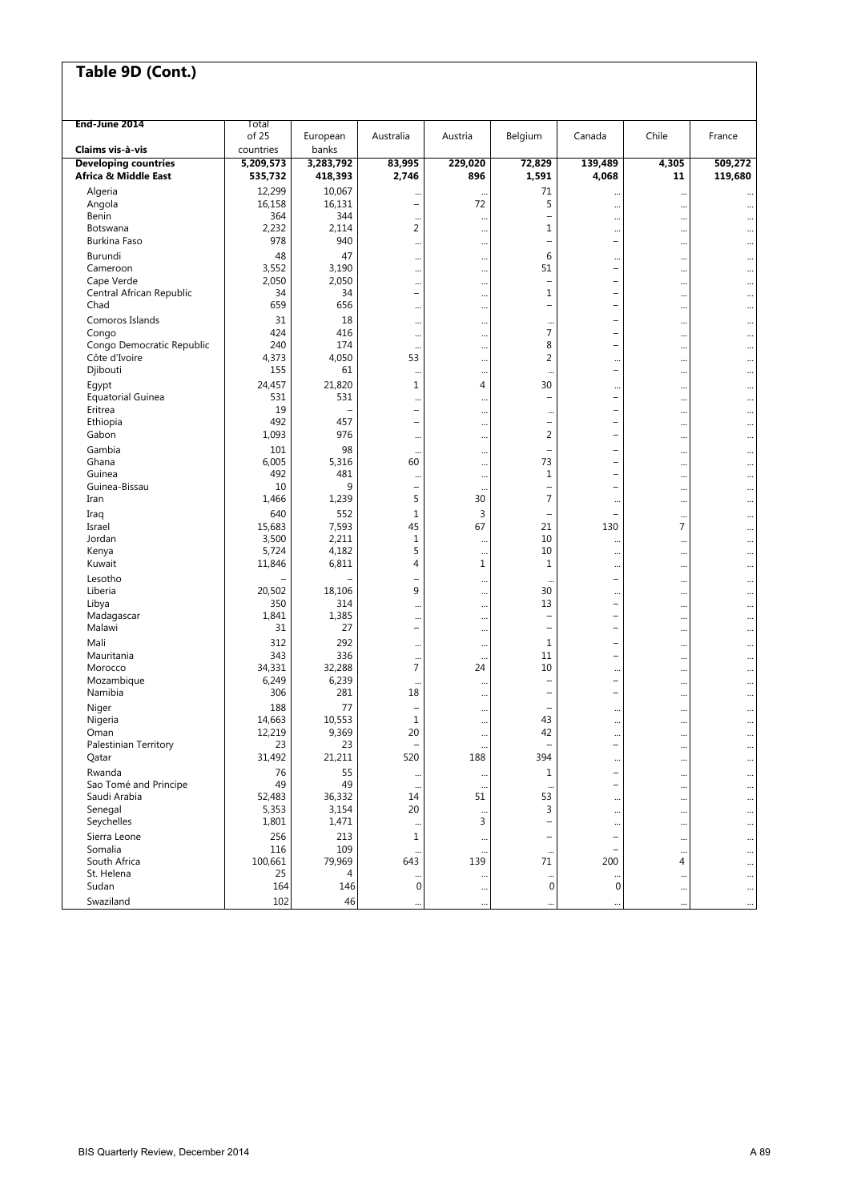| End-June 2014               | Total<br>of 25 | European  | Australia                | Austria     | Belgium                  | Canada                   | Chile | France    |
|-----------------------------|----------------|-----------|--------------------------|-------------|--------------------------|--------------------------|-------|-----------|
| Claims vis à-vis            | countries      | banks     |                          |             |                          |                          |       |           |
| <b>Developing countries</b> | 5,209,573      | 3,283,792 | 83,995                   | 229,020     | 72,829                   | 139,489                  | 4,305 | 509,272   |
| Africa & Middle East        | 535,732        | 418,393   | 2,746                    | 896         | 1,591                    | 4,068                    | 11    | 119,680   |
| Algeria                     | 12,299         | 10,067    |                          | $\ddotsc$   | 71                       |                          |       |           |
| Angola                      | 16,158         | 16,131    | $\overline{\phantom{a}}$ | 72          | 5                        |                          |       |           |
| Benin                       | 364            | 344       |                          |             | $\overline{\phantom{0}}$ |                          |       |           |
| Botswana                    | 2,232          | 2,114     | 2                        |             | $\mathbf 1$              |                          |       |           |
| Burkina Faso                | 978            | 940       |                          |             | $\overline{\phantom{0}}$ | ÷                        |       |           |
| Burundi                     | 48             | 47        |                          |             | 6                        |                          |       | $\ddotsc$ |
| Cameroon                    | 3,552          | 3,190     |                          |             | 51                       | $\qquad \qquad -$        |       |           |
| Cape Verde                  | 2,050          | 2,050     |                          |             | $\qquad \qquad -$        | $\overline{\phantom{0}}$ |       |           |
| Central African Republic    | 34             | 34        | $\overline{\phantom{a}}$ |             | $\mathbf 1$              | $\overline{\phantom{0}}$ |       |           |
| Chad                        | 659            | 656       |                          |             | $\overline{\phantom{0}}$ | $\overline{\phantom{0}}$ |       |           |
| Comoros Islands             | 31             | 18        |                          |             | $\ddotsc$                | $\overline{\phantom{0}}$ |       |           |
| Congo                       | 424            | 416       |                          | $\ddotsc$   | 7                        | $\overline{\phantom{0}}$ |       |           |
| Congo Democratic Republic   | 240            | 174       |                          |             | 8                        | $\qquad \qquad -$        |       |           |
| Côte d'Ivoire               | 4,373          | 4,050     | 53                       |             | 2                        |                          |       |           |
| Djibouti                    | 155            | 61        |                          |             | $\ddotsc$                | $\overline{\phantom{0}}$ |       |           |
| Egypt                       | 24,457         | 21,820    | 1                        | 4           | 30                       |                          |       | $\ddotsc$ |
| <b>Equatorial Guinea</b>    | 531            | 531       |                          |             | $\overline{\phantom{0}}$ | $\overline{\phantom{0}}$ |       |           |
| Eritrea                     | 19             |           | $\overline{\phantom{a}}$ | $\ddotsc$   | $\cdot$                  | ÷                        |       |           |
| Ethiopia                    | 492            | 457       | $\overline{\phantom{a}}$ |             | $\overline{\phantom{m}}$ | $\qquad \qquad -$        |       |           |
| Gabon                       | 1,093          | 976       |                          |             | 2                        | $\overline{\phantom{0}}$ |       |           |
| Gambia                      | 101            | 98        |                          | $\ddotsc$   | $\overline{\phantom{0}}$ | $\overline{\phantom{0}}$ |       | $\ddotsc$ |
| Ghana                       | 6,005          | 5,316     | 60                       |             | 73                       | $\overline{\phantom{0}}$ |       |           |
| Guinea                      | 492            | 481       |                          |             | $1\,$                    | $\overline{\phantom{0}}$ |       | $\ddotsc$ |
| Guinea-Bissau               | 10             | 9         | $\overline{\phantom{a}}$ | $\ddotsc$   | $\qquad \qquad -$        | $\overline{\phantom{0}}$ |       | $\ddotsc$ |
| Iran                        | 1,466          | 1,239     | 5                        | 30          | 7                        |                          |       | $\ddotsc$ |
| Iraq                        | 640            | 552       | $1\,$                    | 3           | ۰                        |                          |       |           |
| Israel                      | 15,683         | 7,593     | 45                       | 67          | 21                       | 130                      | 7     |           |
| Jordan                      | 3,500          | 2,211     | $\mathbf{1}$             |             | 10                       |                          |       |           |
| Kenya                       | 5,724          | 4,182     | 5                        |             | 10                       |                          |       |           |
| Kuwait                      | 11,846         | 6,811     | $\overline{4}$           | $\mathbf 1$ | $\mathbf{1}$             |                          |       |           |
| Lesotho                     |                |           | $\overline{\phantom{0}}$ | $\ddotsc$   | $\ddot{\phantom{a}}$     | $\overline{\phantom{0}}$ |       | $\ddotsc$ |
| Liberia                     | 20,502         | 18,106    | 9                        |             | 30                       |                          |       |           |
| Libya                       | 350            | 314       |                          |             | 13                       | $\overline{a}$           |       | $\ddotsc$ |
| Madagascar                  | 1,841          | 1,385     |                          |             | $\overline{\phantom{a}}$ | ÷                        |       | $\ddotsc$ |
| Malawi                      | 31             | 27        | $\overline{\phantom{a}}$ |             | $\overline{\phantom{a}}$ | ÷                        |       | $\ddotsc$ |
| Mali                        | 312            | 292       |                          |             | 1                        | $\overline{\phantom{0}}$ |       |           |
| Mauritania                  | 343            | 336       | $\cdots$                 | $\ddotsc$   | 11                       | ÷                        |       | $\ddotsc$ |
| Morocco                     | 34,331         | 32,288    | $\overline{7}$           | 24          | 10                       |                          |       |           |
| Mozambique                  | 6,249          | 6,239     | $\ddotsc$                |             | $\overline{\phantom{0}}$ | $\qquad \qquad -$        |       | $\ddotsc$ |
| Namibia                     | 306            | 281       | 18                       |             | $\qquad \qquad -$        | $\overline{\phantom{0}}$ |       |           |
| Niger                       | 188            | 77        |                          |             | $\overline{\phantom{0}}$ |                          |       |           |
| Nigeria                     | 14,663         | 10,553    | 1                        |             | 43                       |                          |       |           |
| Oman                        | 12,219         | 9,369     | 20                       | $\ddotsc$   | 42                       |                          |       |           |
| Palestinian Territory       | 23             | 23        |                          |             |                          |                          |       |           |
| Qatar                       | 31,492         | 21,211    | 520                      | 188         | 394                      |                          |       | $\ddotsc$ |
| Rwanda                      | 76             | 55        |                          |             | $\mathbf 1$              |                          |       |           |
| Sao Tomé and Principe       | 49             | 49        |                          |             | $\ddotsc$                | $\overline{\phantom{0}}$ |       |           |
| Saudi Arabia                | 52,483         | 36,332    | 14                       | 51          | 53                       |                          |       |           |
| Senegal                     | 5,353          | 3,154     | 20                       | $\ddotsc$   | 3                        |                          |       |           |
| Seychelles                  | 1,801          | 1,471     |                          | 3           | $\overline{\phantom{0}}$ |                          |       |           |
| Sierra Leone                | 256            | 213       | 1                        | $\ddotsc$   | $\qquad \qquad -$        |                          |       | $\ddotsc$ |
| Somalia                     | 116            | 109       |                          |             |                          |                          |       |           |
| South Africa                | 100,661        | 79,969    | 643                      | 139         | 71                       | 200                      | 4     |           |
| St. Helena                  | 25             | 4         |                          |             |                          | $\ddots$                 |       |           |
| Sudan                       | 164            | 146       | $\pmb{0}$                |             | $\mathbf 0$              | $\boldsymbol{0}$         |       | $\cdots$  |
| Swaziland                   | 102            | 46        |                          |             |                          |                          |       |           |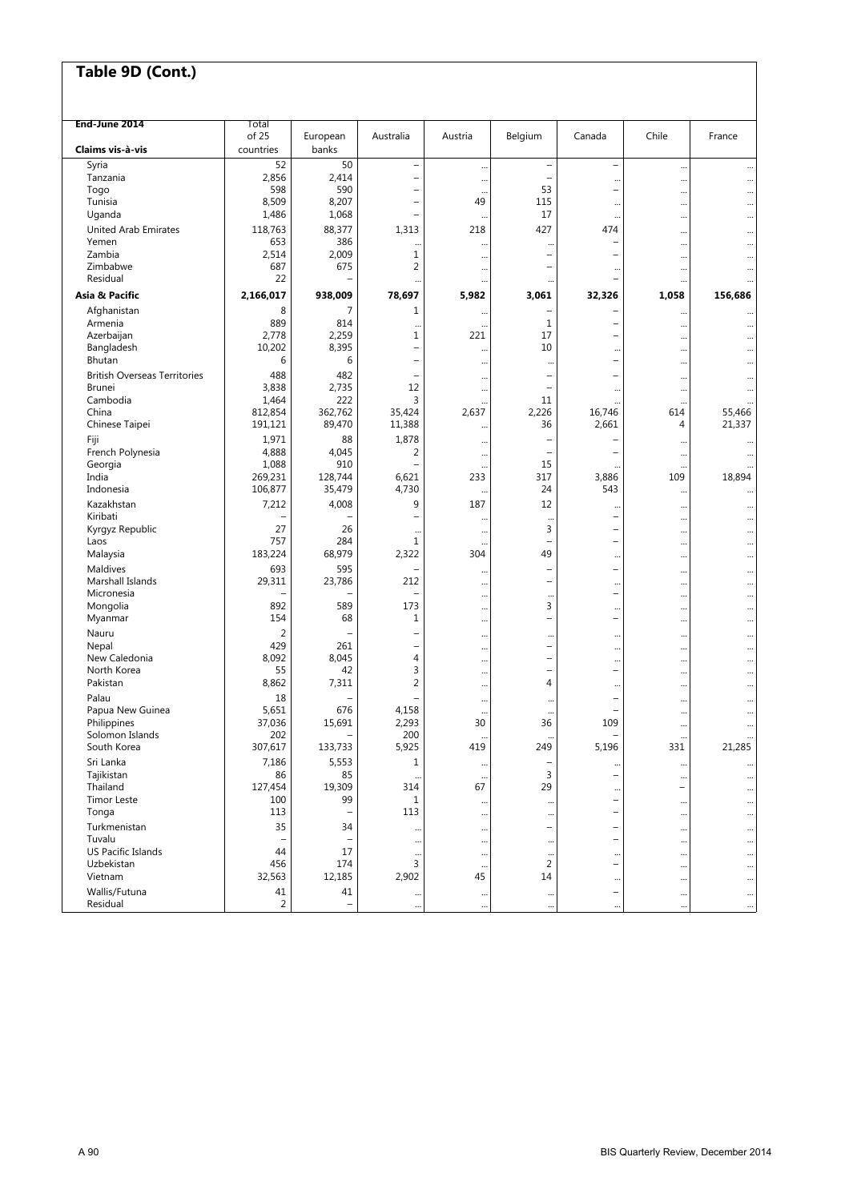| End-June 2014                       | Total              |                   |                                            |                          |                                     |                          |                             |           |
|-------------------------------------|--------------------|-------------------|--------------------------------------------|--------------------------|-------------------------------------|--------------------------|-----------------------------|-----------|
| Claims vis à vis                    | of 25<br>countries | European<br>banks | Australia                                  | Austria                  | Belgium                             | Canada                   | Chile                       | France    |
| Syria                               | 52                 | 50                | -                                          |                          |                                     | $\overline{\phantom{0}}$ |                             |           |
| Tanzania                            | 2,856              | 2,414             | $\overline{\phantom{0}}$                   | <br>                     |                                     |                          | <br>                        |           |
| Togo                                | 598                | 590               | $\overline{a}$                             | $\ddotsc$                | 53                                  | $\overline{\phantom{0}}$ |                             |           |
| Tunisia                             | 8,509              | 8,207             | $\overline{\phantom{0}}$                   | 49                       | 115                                 | $\ddots$                 |                             |           |
| Uganda                              | 1,486              | 1,068             | $\overline{\phantom{0}}$                   | $\cdot$                  | 17                                  | $\cdots$                 |                             |           |
| <b>United Arab Emirates</b>         | 118,763            | 88,377            | 1,313                                      | 218                      | 427                                 | 474                      |                             |           |
| Yemen                               | 653                | 386               |                                            | $\ddot{\phantom{0}}$     |                                     | $\overline{\phantom{0}}$ |                             |           |
| Zambia                              | 2,514              | 2,009             | 1                                          | $\ddotsc$                | L.                                  |                          |                             | $\ddotsc$ |
| Zimbabwe                            | 687                | 675               | $\overline{2}$                             |                          |                                     |                          |                             |           |
| Residual                            | 22                 |                   | $\ddotsc$                                  |                          | $\ddotsc$                           |                          |                             |           |
| Asia & Pacific                      | 2,166,017          | 938,009           | 78,697                                     | 5,982                    | 3,061                               | 32,326                   | 1,058                       | 156,686   |
| Afghanistan                         | 8                  | $\overline{7}$    | 1                                          | $\cdot$                  | -                                   |                          |                             |           |
| Armenia                             | 889                | 814               | $\ddotsc$                                  | $\ddot{\phantom{0}}$     | 1                                   | $\overline{\phantom{0}}$ |                             |           |
| Azerbaijan                          | 2,778              | 2,259             | 1                                          | 221                      | 17                                  |                          |                             |           |
| Bangladesh<br>Bhutan                | 10,202<br>6        | 8,395<br>6        | $\overline{a}$<br>$\overline{\phantom{0}}$ | $\ddotsc$                | 10                                  |                          |                             |           |
|                                     |                    |                   |                                            | $\cdot$                  | $\ddotsc$                           |                          |                             |           |
| <b>British Overseas Territories</b> | 488                | 482               | -                                          | $\ddot{\phantom{0}}$     | $\overline{\phantom{0}}$            |                          |                             |           |
| <b>Brunei</b><br>Cambodia           | 3,838              | 2,735<br>222      | 12<br>3                                    |                          | $\overline{\phantom{0}}$<br>11      |                          |                             |           |
| China                               | 1,464<br>812,854   | 362,762           | 35,424                                     | 2,637                    | 2,226                               | 16,746                   | $\ddot{\phantom{0}}$<br>614 | 55,466    |
| Chinese Taipei                      | 191,121            | 89,470            | 11,388                                     |                          | 36                                  | 2,661                    | 4                           | 21,337    |
| Fiji                                | 1,971              | 88                | 1,878                                      |                          | $\overline{\phantom{0}}$            |                          |                             |           |
| French Polynesia                    | 4,888              | 4,045             | 2                                          | $\ddotsc$                |                                     |                          |                             |           |
| Georgia                             | 1,088              | 910               |                                            | <br>$\ddot{\phantom{0}}$ | 15                                  |                          | <br>$\ddot{\phantom{0}}$    |           |
| India                               | 269,231            | 128,744           | 6,621                                      | 233                      | 317                                 | 3,886                    | 109                         | 18,894    |
| Indonesia                           | 106,877            | 35,479            | 4,730                                      | $\ddotsc$                | 24                                  | 543                      | $\ddotsc$                   |           |
| Kazakhstan                          | 7,212              | 4,008             | 9                                          | 187                      | 12                                  | $\ddotsc$                |                             |           |
| Kiribati                            | ۰                  |                   |                                            |                          | $\ddot{\phantom{0}}$                | $\overline{\phantom{m}}$ |                             |           |
| Kyrgyz Republic                     | 27                 | 26                |                                            | $\ddotsc$                | 3                                   |                          |                             |           |
| Laos                                | 757                | 284               | 1                                          |                          | L,                                  | $\overline{\phantom{0}}$ |                             |           |
| Malaysia                            | 183,224            | 68,979            | 2,322                                      | 304                      | 49                                  | $\ddots$                 |                             |           |
| Maldives                            | 693                | 595               |                                            | $\cdot$                  | $\overline{\phantom{0}}$            | $\overline{\phantom{0}}$ |                             |           |
| Marshall Islands                    | 29,311             | 23,786            | 212                                        | $\cdot$                  | $\overline{\phantom{0}}$            | $\ddotsc$                |                             | $\ddotsc$ |
| Micronesia                          | 892                |                   |                                            |                          | $\ddotsc$                           | $\qquad \qquad -$        |                             | $\ddotsc$ |
| Mongolia<br>Myanmar                 | 154                | 589<br>68         | 173<br>1                                   |                          | 3<br>$\overline{\phantom{0}}$       | $\overline{\phantom{a}}$ |                             |           |
|                                     | $\overline{2}$     |                   | $\overline{\phantom{0}}$                   |                          |                                     |                          |                             | $\ddotsc$ |
| Nauru<br>Nepal                      | 429                | 261               | $\overline{\phantom{0}}$                   |                          | $\cdot$<br>$\overline{\phantom{0}}$ | $\ddotsc$                |                             | $\ddotsc$ |
| New Caledonia                       | 8,092              | 8,045             | 4                                          | <br>$\ddotsc$            | $\overline{\phantom{0}}$            | $\ddots$                 | <br>                        | $\ddots$  |
| North Korea                         | 55                 | 42                | 3                                          |                          | $\overline{\phantom{0}}$            | $\qquad \qquad -$        |                             | $\ddotsc$ |
| Pakistan                            | 8,862              | 7,311             | $\overline{2}$                             |                          | $\overline{4}$                      |                          |                             |           |
| Palau                               | 18                 |                   |                                            |                          | $\ddotsc$                           |                          |                             | $\ddotsc$ |
| Papua New Guinea                    | 5,651              | 676               | 4,158                                      |                          |                                     |                          |                             |           |
| Philippines                         | 37,036             | 15,691            | 2,293                                      | 30                       | 36                                  | 109                      |                             | $\ddotsc$ |
| Solomon Islands                     | 202                |                   | 200                                        | $\ddotsc$                | $\ddotsc$                           | -                        | $\ddots$                    |           |
| South Korea                         | 307,617            | 133,733           | 5,925                                      | 419                      | 249                                 | 5,196                    | 331                         | 21,285    |
| Sri Lanka                           | 7,186              | 5,553             | 1                                          | $\ddot{\phantom{0}}$     |                                     |                          | $\ddotsc$                   |           |
| Tajikistan                          | 86                 | 85                |                                            | $\ddotsc$                | 3                                   |                          |                             |           |
| Thailand                            | 127,454            | 19,309            | 314                                        | 67                       | 29                                  |                          | $\overline{\phantom{0}}$    |           |
| <b>Timor Leste</b><br>Tonga         | 100                | 99                | 1<br>113                                   | $\ddot{\cdot}$           | $\ddotsc$                           |                          | $\cdots$                    |           |
|                                     | 113                |                   |                                            | $\ddotsc$                | $\ddotsc$                           |                          | $\ddots$                    |           |
| Turkmenistan<br>Tuvalu              | 35                 | 34                |                                            | $\ddotsc$                | $\overline{\phantom{0}}$            |                          | $\ddotsc$                   |           |
| US Pacific Islands                  | 44                 | 17                |                                            |                          | $\ddotsc$                           |                          |                             |           |
| Uzbekistan                          | 456                | 174               | <br>3                                      | $\ddotsc$                | $\ddotsc$<br>2                      |                          |                             |           |
| Vietnam                             | 32,563             | 12,185            | 2,902                                      | 45                       | 14                                  |                          | <br>$\ddotsc$               |           |
| Wallis/Futuna                       | 41                 | 41                |                                            |                          | $\cdots$                            |                          |                             |           |
| Residual                            | $\overline{2}$     |                   | $\cdots$<br>                               | $\cdots$                 | $\ddotsc$                           |                          | $\cdots$                    | $\cdots$  |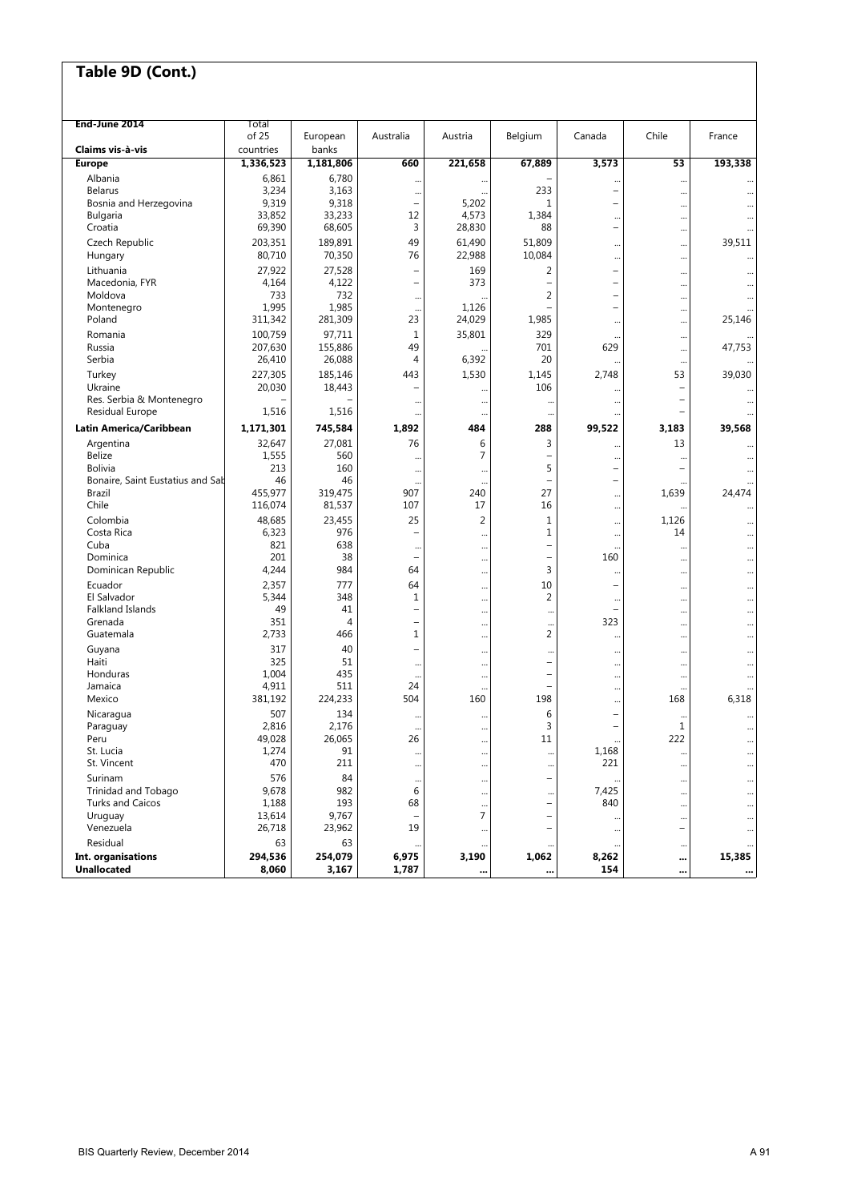| End-June 2014                              | Total                  |                    |                                                      |                |                                       |                                                      |                          |           |
|--------------------------------------------|------------------------|--------------------|------------------------------------------------------|----------------|---------------------------------------|------------------------------------------------------|--------------------------|-----------|
|                                            | of 25                  | European           | Australia                                            | Austria        | Belgium                               | Canada                                               | Chile                    | France    |
| Claims vis à vis<br><b>Europe</b>          | countries<br>1,336,523 | banks<br>1,181,806 | 660                                                  | 221,658        | 67,889                                | 3,573                                                | 53                       | 193,338   |
| Albania                                    | 6,861                  | 6,780              |                                                      |                |                                       |                                                      |                          |           |
| <b>Belarus</b>                             | 3,234                  | 3,163              | <br>                                                 | <br>           | 233                                   | $\ddotsc$<br>$\qquad \qquad -$                       | $\ddotsc$<br>            |           |
| Bosnia and Herzegovina                     | 9,319                  | 9,318              | $\overline{\phantom{0}}$                             | 5,202          | 1                                     | $\qquad \qquad -$                                    |                          |           |
| <b>Bulgaria</b>                            | 33,852                 | 33,233             | 12                                                   | 4,573          | 1,384                                 | $\ddotsc$                                            |                          |           |
| Croatia                                    | 69,390                 | 68,605             | 3                                                    | 28,830         | 88                                    | $\overline{\phantom{0}}$                             |                          |           |
| Czech Republic                             | 203,351                | 189,891            | 49                                                   | 61,490         | 51,809                                |                                                      |                          | 39,511    |
| Hungary                                    | 80,710                 | 70,350             | 76                                                   | 22,988         | 10,084                                | $\ddots$                                             | $\ddotsc$                |           |
| Lithuania                                  | 27,922                 | 27,528             | L,                                                   | 169            | 2                                     | $\overline{\phantom{0}}$                             | $\ddotsc$                |           |
| Macedonia, FYR                             | 4,164                  | 4,122              | $\equiv$                                             | 373            | $\overline{\phantom{0}}$              | $\qquad \qquad -$                                    |                          |           |
| Moldova<br>Montenegro                      | 733<br>1,995           | 732<br>1,985       |                                                      | 1,126          | $\overline{2}$                        | $\overline{\phantom{0}}$<br>$\overline{\phantom{0}}$ |                          |           |
| Poland                                     | 311,342                | 281,309            | <br>23                                               | 24,029         | 1,985                                 | $\ddotsc$                                            | <br>                     | 25,146    |
| Romania                                    | 100,759                | 97,711             | $\mathbf{1}$                                         | 35,801         | 329                                   |                                                      |                          |           |
| Russia                                     | 207,630                | 155,886            | 49                                                   |                | 701                                   | 629                                                  | $\cdots$<br>             | 47,753    |
| Serbia                                     | 26,410                 | 26,088             | 4                                                    | 6,392          | 20                                    |                                                      | $\ddotsc$                |           |
| Turkey                                     | 227,305                | 185,146            | 443                                                  | 1,530          | 1,145                                 | 2,748                                                | 53                       | 39,030    |
| Ukraine                                    | 20,030                 | 18,443             |                                                      |                | 106                                   | $\ddotsc$                                            | $\overline{\phantom{0}}$ |           |
| Res. Serbia & Montenegro                   |                        |                    |                                                      |                |                                       |                                                      | $\overline{\phantom{0}}$ |           |
| Residual Europe                            | 1,516                  | 1,516              |                                                      |                |                                       |                                                      | $\overline{\phantom{0}}$ |           |
| Latin America/Caribbean                    | 1,171,301              | 745,584            | 1,892                                                | 484            | 288                                   | 99,522                                               | 3,183                    | 39,568    |
| Argentina                                  | 32,647                 | 27,081             | 76                                                   | 6              | 3                                     | $\ddotsc$                                            | 13                       |           |
| <b>Belize</b>                              | 1,555                  | 560                |                                                      | 7              | $\overline{\phantom{0}}$              | $\ddots$                                             | $\ddots$                 |           |
| <b>Bolivia</b>                             | 213                    | 160                |                                                      |                | 5                                     | $\qquad \qquad -$                                    | $\overline{\phantom{0}}$ |           |
| Bonaire, Saint Eustatius and Sab<br>Brazil | 46<br>455,977          | 46<br>319,475      | $\ddotsc$<br>907                                     | <br>240        | $\overline{\phantom{0}}$<br>27        | $\overline{\phantom{0}}$                             | 1,639                    | 24,474    |
| Chile                                      | 116,074                | 81,537             | 107                                                  | 17             | 16                                    | <br>                                                 |                          |           |
| Colombia                                   | 48,685                 | 23,455             | 25                                                   | $\overline{2}$ | $\mathbf 1$                           |                                                      | 1,126                    | $\ddotsc$ |
| Costa Rica                                 | 6,323                  | 976                |                                                      |                | 1                                     | $\ddots$<br>$\ddots$                                 | 14                       | <br>      |
| Cuba                                       | 821                    | 638                |                                                      |                | $\overline{a}$                        | $\ddotsc$                                            |                          |           |
| Dominica                                   | 201                    | 38                 | $\equiv$                                             |                | $\overline{\phantom{a}}$              | 160                                                  |                          |           |
| Dominican Republic                         | 4,244                  | 984                | 64                                                   |                | 3                                     | $\ddotsc$                                            |                          |           |
| Ecuador                                    | 2,357                  | 777                | 64                                                   |                | 10                                    | $\qquad \qquad -$                                    |                          |           |
| El Salvador                                | 5,344                  | 348                | $\mathbf 1$                                          |                | $\overline{c}$                        | $\cdots$                                             |                          |           |
| Falkland Islands                           | 49<br>351              | 41<br>4            | $\overline{\phantom{0}}$<br>$\overline{\phantom{0}}$ |                | $\ddotsc$                             | $\qquad \qquad -$<br>323                             | $\ddots$                 |           |
| Grenada<br>Guatemala                       | 2,733                  | 466                | 1                                                    |                | <br>2                                 |                                                      |                          |           |
|                                            | 317                    | 40                 | $\overline{\phantom{0}}$                             |                |                                       |                                                      |                          |           |
| Guyana<br>Haiti                            | 325                    | 51                 | $\ddotsc$                                            |                | $\ddotsc$<br>$\overline{\phantom{0}}$ |                                                      |                          |           |
| Honduras                                   | 1,004                  | 435                |                                                      | <br>           | $\overline{\phantom{0}}$              | <br>$\ddots$                                         | <br>                     | <br>      |
| Jamaica                                    | 4,911                  | 511                | 24                                                   |                |                                       | $\ddots$                                             | $\ddots$                 |           |
| Mexico                                     | 381,192                | 224,233            | 504                                                  | 160            | 198                                   |                                                      | 168                      | 6,318     |
| Nicaragua                                  | 507                    | 134                |                                                      |                | 6                                     | $\qquad \qquad -$                                    |                          | $\ddotsc$ |
| Paraguay                                   | 2,816                  | 2,176              |                                                      |                | 3                                     | $\qquad \qquad -$                                    | 1                        |           |
| Peru                                       | 49.028                 | 26,065             | 26                                                   | $\cdots$       | 11                                    | $\cdots$                                             | 222                      | $\ddotsc$ |
| St. Lucia<br>St. Vincent                   | 1,274<br>470           | 91<br>211          |                                                      |                | $\cdots$                              | 1,168<br>221                                         | $\cdots$                 |           |
|                                            |                        |                    |                                                      |                |                                       |                                                      | $\cdots$                 |           |
| Surinam<br>Trinidad and Tobago             | 576<br>9,678           | 84<br>982          | <br>6                                                |                | —                                     | 7,425                                                | $\ddotsc$                |           |
| <b>Turks and Caicos</b>                    | 1,188                  | 193                | 68                                                   |                | $\ddotsc$<br>-                        | 840                                                  |                          |           |
| Uruguay                                    | 13,614                 | 9,767              |                                                      | <br>7          | $\overline{\phantom{0}}$              |                                                      | <br>$\ddotsc$            |           |
| Venezuela                                  | 26,718                 | 23,962             | 19                                                   | $\cdots$       | L,                                    | $\ddotsc$                                            | $\overline{\phantom{0}}$ |           |
| Residual                                   | 63                     | 63                 |                                                      |                |                                       |                                                      | $\cdots$                 |           |
| Int. organisations                         | 294,536                | 254,079            | 6,975                                                | 3,190          | 1,062                                 | 8,262                                                |                          | 15,385    |
| <b>Unallocated</b>                         | 8,060                  | 3,167              | 1,787                                                |                |                                       | 154                                                  |                          |           |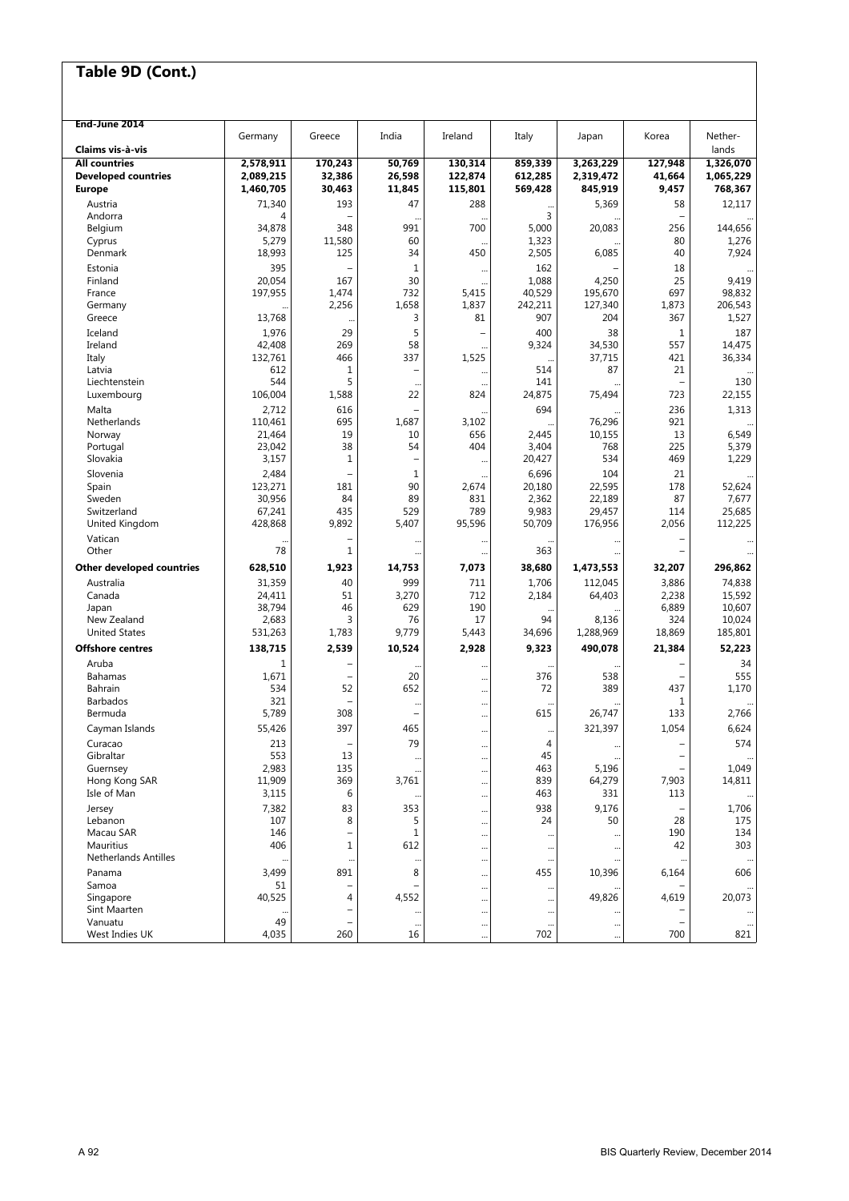| End-June 2014               | Germany           | Greece        | India                    | Ireland               | Italy            | Japan            | Korea                    | Nether-          |
|-----------------------------|-------------------|---------------|--------------------------|-----------------------|------------------|------------------|--------------------------|------------------|
| Claims vis à-vis            |                   |               |                          |                       |                  |                  |                          | lands            |
| <b>All countries</b>        | 2,578,911         | 170,243       | 50,769                   | 130,314               | 859,339          | 3,263,229        | 127,948                  | 1,326,070        |
| <b>Developed countries</b>  | 2,089,215         | 32,386        | 26.598                   | 122,874               | 612,285          | 2,319,472        | 41,664                   | 1,065,229        |
| <b>Europe</b>               | 1,460,705         | 30,463        | 11,845                   | 115,801               | 569,428          | 845,919          | 9,457                    | 768,367          |
| Austria                     | 71,340            | 193           | 47                       | 288                   | $\ddotsc$        | 5,369            | 58                       | 12,117           |
| Andorra                     | 4                 |               |                          |                       | 3                |                  |                          |                  |
| Belgium                     | 34,878<br>5,279   | 348<br>11,580 | 991<br>60                | 700                   | 5,000<br>1,323   | 20,083           | 256<br>80                | 144,656          |
| Cyprus<br>Denmark           | 18,993            | 125           | 34                       | 450                   | 2,505            | 6,085            | 40                       | 1,276<br>7,924   |
|                             | 395               |               | $\mathbf{1}$             |                       | 162              |                  |                          |                  |
| Estonia<br>Finland          | 20,054            | 167           | 30                       |                       | 1,088            | 4,250            | 18<br>25                 | 9,419            |
| France                      | 197,955           | 1,474         | 732                      | $\ddotsc$<br>5,415    | 40,529           | 195,670          | 697                      | 98,832           |
| Germany                     |                   | 2,256         | 1,658                    | 1,837                 | 242,211          | 127,340          | 1,873                    | 206,543          |
| Greece                      | 13,768            |               | 3                        | 81                    | 907              | 204              | 367                      | 1,527            |
| Iceland                     | 1,976             | 29            | 5                        |                       | 400              | 38               | $\mathbf{1}$             | 187              |
| Ireland                     | 42,408            | 269           | 58                       |                       | 9,324            | 34,530           | 557                      | 14,475           |
| Italy                       | 132,761           | 466           | 337                      | 1,525                 | $\ddotsc$        | 37,715           | 421                      | 36,334           |
| Latvia                      | 612               | 1             | $\overline{\phantom{0}}$ | $\ddotsc$             | 514              | 87               | 21                       |                  |
| Liechtenstein               | 544               | 5             |                          |                       | 141              |                  | L,                       | 130              |
| Luxembourg                  | 106,004           | 1,588         | 22                       | 824                   | 24,875           | 75,494           | 723                      | 22,155           |
| Malta                       | 2,712             | 616           |                          |                       | 694              |                  | 236                      | 1,313            |
| Netherlands<br>Norway       | 110.461<br>21,464 | 695<br>19     | 1,687<br>10              | 3,102<br>656          | 2,445            | 76,296<br>10,155 | 921<br>13                | 6,549            |
| Portugal                    | 23,042            | 38            | 54                       | 404                   | 3,404            | 768              | 225                      | 5,379            |
| Slovakia                    | 3,157             | $\mathbf{1}$  | L,                       |                       | 20,427           | 534              | 469                      | 1,229            |
| Slovenia                    | 2,484             |               | 1                        |                       | 6,696            | 104              | 21                       |                  |
| Spain                       | 123,271           | 181           | 90                       | 2,674                 | 20,180           | 22,595           | 178                      | 52,624           |
| Sweden                      | 30,956            | 84            | 89                       | 831                   | 2,362            | 22,189           | 87                       | 7,677            |
| Switzerland                 | 67,241            | 435           | 529                      | 789                   | 9,983            | 29,457           | 114                      | 25,685           |
| United Kingdom              | 428,868           | 9,892         | 5,407                    | 95,596                | 50,709           | 176,956          | 2,056                    | 112,225          |
| Vatican                     |                   |               |                          | $\ddotsc$             |                  |                  | $\overline{\phantom{0}}$ |                  |
| Other                       | 78                | 1             |                          | $\ddotsc$             | 363              |                  |                          |                  |
| Other developed countries   | 628,510           | 1,923         | 14,753                   | 7,073                 | 38,680           | 1,473,553        | 32,207                   | 296,862          |
| Australia                   | 31,359            | 40            | 999                      | 711                   | 1,706            | 112,045          | 3,886                    | 74,838           |
| Canada<br>Japan             | 24,411<br>38,794  | 51<br>46      | 3,270<br>629             | 712<br>190            | 2,184            | 64,403           | 2,238<br>6,889           | 15,592<br>10,607 |
| New Zealand                 | 2,683             | 3             | 76                       | 17                    | 94               | 8,136            | 324                      | 10,024           |
| <b>United States</b>        | 531,263           | 1,783         | 9,779                    | 5,443                 | 34,696           | 1,288,969        | 18,869                   | 185,801          |
| <b>Offshore centres</b>     | 138,715           | 2,539         | 10,524                   | 2,928                 | 9,323            | 490,078          | 21,384                   | 52,223           |
| Aruba                       | 1                 |               | $\ddots$                 |                       |                  |                  |                          | 34               |
| Bahamas                     | 1,671             | $\sim$        | 20                       |                       | 376              | 538              | $\overline{\phantom{a}}$ | 555              |
| Bahrain                     | 534               | 52            | 652                      | $\ddotsc$             | 72               | 389              | 437                      | 1,170            |
| <b>Barbados</b>             | 321               |               |                          | $\ddotsc$             |                  |                  | 1                        |                  |
| Bermuda                     | 5,789             | 308           | $\overline{\phantom{0}}$ |                       | 615              | 26,747           | 133                      | 2,766            |
| Cayman Islands              | 55,426            | 397           | 465                      |                       |                  | 321,397          | 1,054                    | 6,624            |
| Curacao                     | 213               |               | 79                       | $\ddotsc$             | 4                |                  |                          | 574              |
| Gibraltar                   | 553               | 13            |                          |                       | 45               |                  | -                        |                  |
| Guernsey<br>Hong Kong SAR   | 2,983<br>11,909   | 135<br>369    | 3,761                    | $\ddotsc$             | 463<br>839       | 5,196<br>64,279  | L,<br>7,903              | 1,049<br>14,811  |
| Isle of Man                 | 3,115             | 6             |                          | $\cdots$              | 463              | 331              | 113                      |                  |
| Jersey                      | 7,382             | 83            | <br>353                  | $\cdots$              | 938              | 9,176            |                          | 1,706            |
| Lebanon                     | 107               | 8             | 5                        | $\ddotsc$             | 24               | 50               | 28                       | 175              |
| Macau SAR                   | 146               |               | 1                        | $\cdots$<br>$\ddotsc$ |                  |                  | 190                      | 134              |
| Mauritius                   | 406               | 1             | 612                      | $\ddotsc$             |                  |                  | 42                       | 303              |
| <b>Netherlands Antilles</b> |                   |               | $\cdots$                 | $\ddotsc$             | $\cdots$         |                  |                          |                  |
| Panama                      | 3,499             | 891           | 8                        | $\cdots$              | 455              | 10,396           | 6,164                    | 606              |
| Samoa                       | 51                |               |                          | $\ddotsc$             |                  |                  |                          |                  |
| Singapore                   | 40,525            | 4             | 4,552                    | $\ddotsc$             |                  | 49,826           | 4,619                    | 20,073           |
| Sint Maarten<br>Vanuatu     | 49                |               |                          | $\ddotsc$             |                  |                  | $\overline{\phantom{0}}$ |                  |
| West Indies UK              | 4,035             | 260           | $\cdots$<br>16           | $\cdots$              | $\ddotsc$<br>702 | <br>             | 700                      | 821              |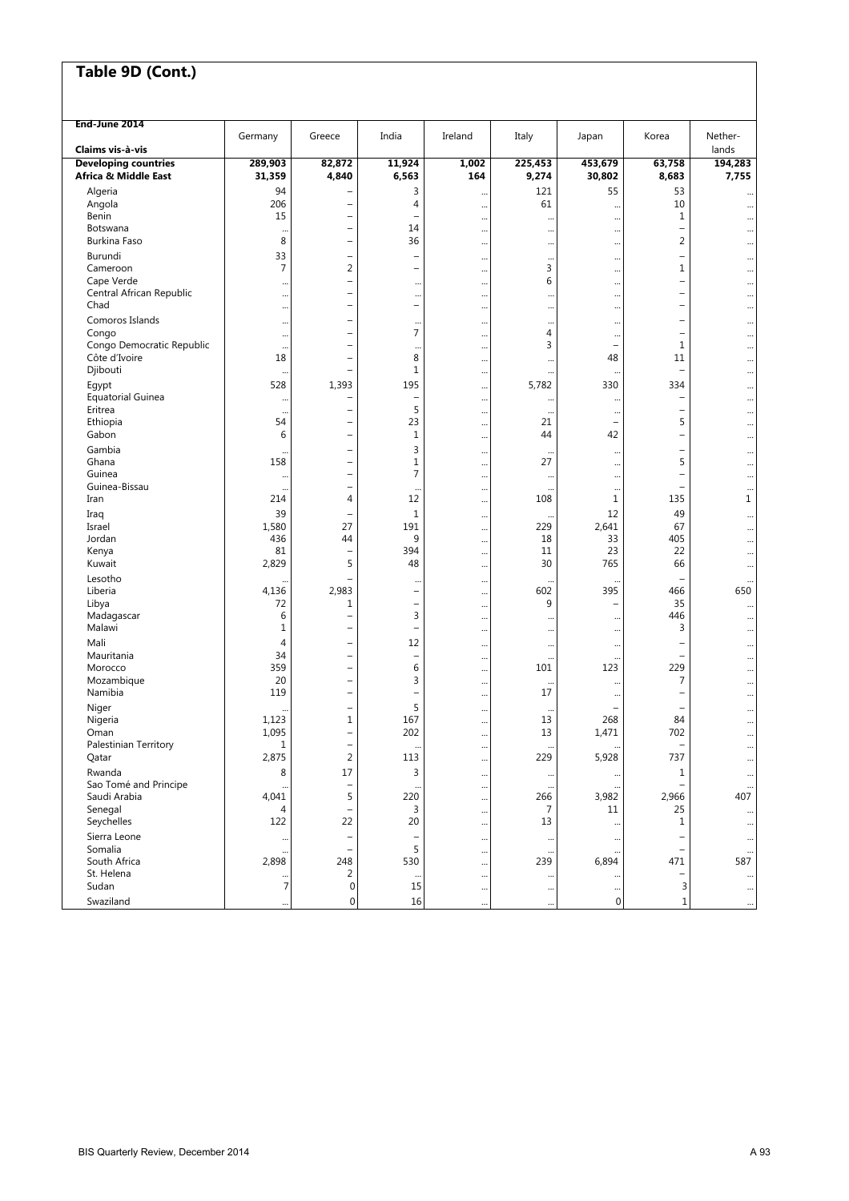| End-June 2014                                   |                       |                                                      |                          |          |                        |                          |                          |                        |
|-------------------------------------------------|-----------------------|------------------------------------------------------|--------------------------|----------|------------------------|--------------------------|--------------------------|------------------------|
|                                                 | Germany               | Greece                                               | India                    | Ireland  | Italy                  | Japan                    | Korea                    | Nether-                |
| Claims vis à vis<br><b>Developing countries</b> |                       |                                                      | 11,924                   | 1,002    | 225,453                | 453,679                  |                          | lands                  |
| Africa & Middle East                            | 289,903<br>31,359     | 82,872<br>4,840                                      | 6,563                    | 164      | 9,274                  | 30,802                   | 63,758<br>8,683          | 194,283<br>7,755       |
|                                                 |                       |                                                      |                          |          |                        |                          |                          |                        |
| Algeria                                         | 94<br>206             | $\overline{\phantom{a}}$<br>$\overline{\phantom{0}}$ | 3<br>4                   |          | 121<br>61              | 55                       | 53<br>10                 |                        |
| Angola<br>Benin                                 | 15                    | $\overline{\phantom{0}}$                             | $\overline{\phantom{0}}$ |          |                        |                          | 1                        | $\ddotsc$              |
| Botswana                                        |                       | $\overline{a}$                                       | 14                       |          | $\ddotsc$<br>$\ddotsc$ |                          | $\overline{\phantom{0}}$ | $\ddotsc$<br>$\ddotsc$ |
| Burkina Faso                                    | $\ddotsc$<br>8        | $\overline{\phantom{0}}$                             | 36                       | <br>     | $\cdots$               | <br>                     | 2                        | $\ddotsc$              |
| Burundi                                         | 33                    | $\overline{\phantom{0}}$                             |                          |          |                        |                          | $\overline{\phantom{0}}$ |                        |
| Cameroon                                        | 7                     | $\overline{2}$                                       | $\overline{\phantom{m}}$ |          | $\cdots$<br>3          | <br>                     | 1                        | $\ddotsc$              |
| Cape Verde                                      |                       | $\overline{\phantom{0}}$                             |                          | <br>     | 6                      |                          | $\equiv$                 | $\ddotsc$<br>$\ddotsc$ |
| Central African Republic                        |                       | $\overline{\phantom{0}}$                             |                          |          | $\ddotsc$              |                          | $\overline{\phantom{0}}$ | $\ddotsc$              |
| Chad                                            |                       | $\overline{a}$                                       | $\overline{\phantom{0}}$ |          | $\ddotsc$              |                          | $\overline{\phantom{0}}$ | $\ddot{\phantom{0}}$   |
| Comoros Islands                                 |                       | $\overline{\phantom{a}}$                             | $\cdots$                 |          | $\cdots$               |                          | $\overline{\phantom{0}}$ | $\ddotsc$              |
| Congo                                           |                       | $\overline{\phantom{0}}$                             | $\overline{7}$           |          | 4                      |                          | $\overline{\phantom{0}}$ | $\ddotsc$              |
| Congo Democratic Republic                       | $\ddotsc$             | ۰                                                    |                          |          | 3                      | $\qquad \qquad -$        | 1                        | $\ddotsc$              |
| Côte d'Ivoire                                   | 18                    | $\overline{\phantom{0}}$                             | 8                        |          | $\ddotsc$              | 48                       | 11                       | $\ddotsc$              |
| Djibouti                                        | $\ddotsc$             | $\overline{\phantom{0}}$                             | $1\,$                    |          |                        |                          | $\overline{\phantom{0}}$ | $\ddot{\phantom{0}}$   |
| Egypt                                           | 528                   | 1,393                                                | 195                      |          | 5,782                  | 330                      | 334                      | $\ddotsc$              |
| <b>Equatorial Guinea</b>                        | $\ddotsc$             | $\overline{\phantom{a}}$                             | $\overline{\phantom{a}}$ |          | $\ddotsc$              |                          | $\qquad \qquad -$        | $\cdots$               |
| Eritrea                                         | $\ddot{\phantom{0}}$  | $\overline{\phantom{0}}$                             | 5                        |          | $\cdot$                |                          | $\qquad \qquad -$        | $\cdots$               |
| Ethiopia                                        | 54                    | ۰                                                    | 23                       |          | 21                     | $\qquad \qquad -$        | 5                        | $\ddotsc$              |
| Gabon                                           | 6                     | $\overline{\phantom{0}}$                             | $1\,$                    |          | 44                     | 42                       | $\overline{\phantom{0}}$ | $\ddotsc$              |
| Gambia                                          | $\ddotsc$             | ۰                                                    | 3                        |          | $\ddotsc$              | $\ddots$                 | -                        | $\ddotsc$              |
| Ghana                                           | 158                   | $\overline{\phantom{0}}$                             | $\mathbf 1$              |          | 27                     | $\ddots$                 | 5                        | $\ddotsc$              |
| Guinea                                          | $\ddotsc$             | $\overline{\phantom{a}}$                             | $\overline{7}$           |          | $\cdots$               |                          | $\overline{\phantom{0}}$ | $\ddotsc$              |
| Guinea-Bissau                                   | $\ddot{\phantom{0}}$  | $\overline{\phantom{0}}$                             |                          |          | $\ddotsc$              |                          | $\overline{\phantom{0}}$ | $\cdots$               |
| Iran                                            | 214                   | 4                                                    | 12                       |          | 108                    | $1\,$                    | 135                      | 1                      |
| Iraq                                            | 39                    | ۰                                                    | $1\,$                    |          | $\ddotsc$              | 12                       | 49                       | $\ddotsc$              |
| Israel                                          | 1,580                 | 27                                                   | 191                      |          | 229                    | 2,641                    | 67                       | $\ddotsc$              |
| Jordan                                          | 436                   | 44                                                   | 9                        |          | 18                     | 33                       | 405                      | $\ddotsc$              |
| Kenya                                           | 81                    | $\overline{\phantom{0}}$                             | 394                      |          | 11                     | 23                       | 22                       | $\ddotsc$              |
| Kuwait                                          | 2,829                 | 5                                                    | 48                       |          | 30                     | 765                      | 66                       | $\ddotsc$              |
| Lesotho                                         |                       |                                                      |                          |          |                        |                          | $\overline{\phantom{0}}$ | $\ddotsc$              |
| Liberia                                         | 4,136                 | 2,983                                                | $\equiv$                 |          | 602                    | 395                      | 466                      | 650                    |
| Libya                                           | 72                    | 1                                                    | $\qquad \qquad -$        |          | 9                      | $\overline{\phantom{0}}$ | 35                       | $\ddotsc$              |
| Madagascar                                      | 6                     | Ē,                                                   | 3                        |          | $\ddot{\phantom{0}}$   |                          | 446                      | $\ddotsc$              |
| Malawi                                          | $\mathbf 1$           | $\overline{\phantom{a}}$                             | $\overline{\phantom{0}}$ |          | $\cdots$               |                          | 3                        | $\ddotsc$              |
| Mali                                            | 4                     | $\overline{a}$                                       | 12                       |          | $\ddots$               |                          |                          | $\ddotsc$              |
| Mauritania                                      | 34                    | ۳                                                    | $\overline{\phantom{0}}$ |          | $\ddotsc$              |                          | $\qquad \qquad -$        | $\ddotsc$              |
| Morocco                                         | 359                   | Ē,                                                   | 6                        |          | 101                    | 123                      | 229                      | $\ddotsc$              |
| Mozambique                                      | 20                    | $\overline{\phantom{0}}$                             | 3                        |          | $\cdot\cdot$           | $\ddotsc$                | 7                        | $\ddotsc$              |
| Namibia                                         | 119                   | $\overline{\phantom{0}}$                             | $\qquad \qquad -$        |          | 17                     |                          | $\overline{\phantom{0}}$ | $\ddotsc$              |
| Niger                                           |                       | $\overline{a}$                                       | 5                        |          |                        |                          |                          | $\ddot{\phantom{0}}$   |
| Nigeria                                         | 1,123                 | $\mathbf{1}$                                         | 167                      |          | 13                     | 268                      | 84                       | $\ddotsc$              |
| Oman                                            | 1,095<br>$\mathbf{1}$ | $\overline{a}$                                       | 202                      |          | 13                     | 1,471                    | 702                      | $\ddotsc$              |
| Palestinian Territory                           | 2,875                 |                                                      | 113                      |          | 229                    | 5,928                    |                          |                        |
| Qatar                                           |                       | $\overline{2}$                                       |                          |          |                        |                          | 737                      | $\ddotsc$              |
| Rwanda                                          | 8                     | 17                                                   | 3                        | $\cdots$ | $\cdots$               |                          | 1                        | $\ddotsc$              |
| Sao Tomé and Principe<br>Saudi Arabia           | 4,041                 | 5                                                    | 220                      |          | 266                    | 3,982                    | 2,966                    | 407                    |
| Senegal                                         | 4                     | -                                                    | 3                        |          | 7                      | 11                       | 25                       |                        |
| Seychelles                                      | 122                   | 22                                                   | 20                       |          | 13                     |                          | 1                        |                        |
|                                                 |                       |                                                      |                          | $\cdots$ |                        | $\ddotsc$                |                          | $\ddotsc$              |
| Sierra Leone<br>Somalia                         | $\ddotsc$             | $\qquad \qquad -$<br>$\overline{\phantom{0}}$        | 5                        | $\cdots$ | $\cdots$               | $\ddotsc$                | $\overline{\phantom{0}}$ | $\ddots$               |
| South Africa                                    | 2,898                 | 248                                                  | 530                      |          | $\cdot\cdot$<br>239    | 6,894                    | $\qquad \qquad -$<br>471 | 587                    |
| St. Helena                                      |                       | 2                                                    |                          |          |                        |                          | $\qquad \qquad -$        |                        |
| Sudan                                           | 7                     | 0                                                    | $\ddotsc$<br>15          |          | $\cdot$<br>$\ddotsc$   | $\ddots$                 | 3                        | $\cdots$               |
| Swaziland                                       |                       | 0                                                    | 16                       |          |                        | $\mathbf 0$              | $\mathbf{1}$             |                        |
|                                                 |                       |                                                      |                          |          |                        |                          |                          | $\ddotsc$              |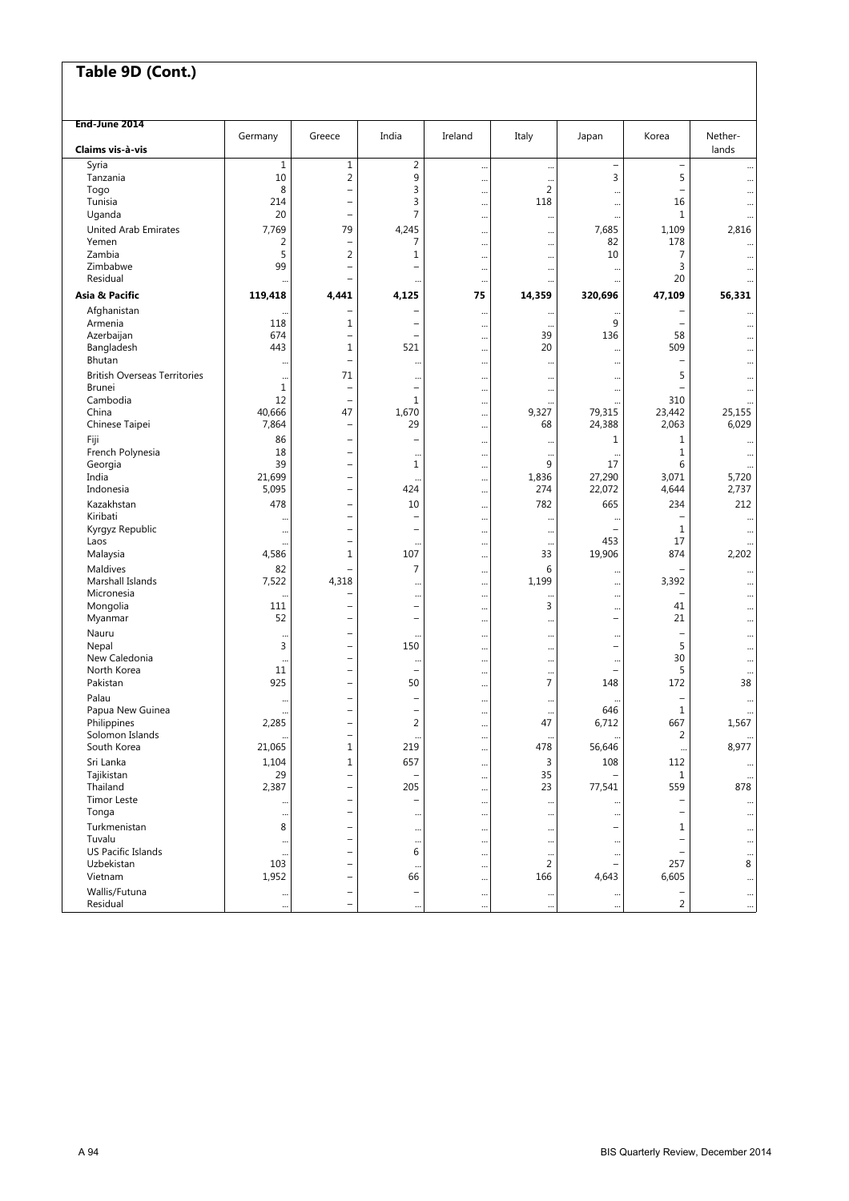| End-June 2014                       |              |                                               |                                                      |           |                             |                                       |                          |          |
|-------------------------------------|--------------|-----------------------------------------------|------------------------------------------------------|-----------|-----------------------------|---------------------------------------|--------------------------|----------|
|                                     | Germany      | Greece                                        | India                                                | Ireland   | Italy                       | Japan                                 | Korea                    | Nether-  |
| Claims vis à vis                    |              |                                               |                                                      |           |                             |                                       |                          | lands    |
| Syria                               | $\mathbf{1}$ | $1\,$                                         | $\overline{2}$                                       |           | $\cdots$                    | $\qquad \qquad -$                     | $\overline{\phantom{a}}$ |          |
| Tanzania                            | 10<br>8      | $\overline{2}$<br>$\overline{\phantom{0}}$    | 9<br>3                                               |           | $\ddots$<br>2               | 3                                     | 5<br>$\qquad \qquad -$   |          |
| Togo<br>Tunisia                     | 214          |                                               | 3                                                    |           | 118                         | $\ddotsc$                             | 16                       |          |
| Uganda                              | 20           | $\overline{\phantom{m}}$                      | 7                                                    | <br>      |                             | $\cdots$                              | 1                        | <br>     |
| <b>United Arab Emirates</b>         | 7,769        | 79                                            | 4,245                                                |           | $\cdots$                    | $\ddot{\phantom{0}}$<br>7,685         | 1,109                    | 2,816    |
| Yemen                               | 2            |                                               | 7                                                    |           | $\cdots$                    | 82                                    | 178                      |          |
| Zambia                              | 5            | $\overline{2}$                                | 1                                                    |           | $\cdots$                    | 10                                    | 7                        |          |
| Zimbabwe                            | 99           | $\overline{\phantom{m}}$                      | ۳                                                    | <br>      | <br>                        | $\ddotsc$                             | 3                        |          |
| Residual                            |              | -                                             |                                                      |           |                             | $\ddotsc$                             | 20                       |          |
| Asia & Pacific                      | 119,418      | 4,441                                         | 4,125                                                | 75        | 14,359                      | 320,696                               | 47,109                   | 56,331   |
| Afghanistan                         |              |                                               | -                                                    |           |                             |                                       |                          |          |
| Armenia                             | 118          | 1                                             | $\overline{\phantom{0}}$                             |           | $\cdots$                    | $\ddotsc$<br>9                        | $\qquad \qquad -$        |          |
| Azerbaijan                          | 674          | $\overline{\phantom{0}}$                      | $\overline{\phantom{0}}$                             | <br>      | $\ddotsc$<br>39             | 136                                   | 58                       | <br>     |
| Bangladesh                          | 443          | 1                                             | 521                                                  |           | 20                          | $\ddotsc$                             | 509                      |          |
| Bhutan                              |              | $\overline{\phantom{0}}$                      |                                                      |           |                             | $\ddotsc$                             | $\overline{\phantom{0}}$ |          |
| <b>British Overseas Territories</b> |              | 71                                            |                                                      | $\ddotsc$ |                             |                                       | 5                        |          |
| <b>Brunei</b>                       | $\mathbf 1$  |                                               | <br>$\overline{\phantom{0}}$                         |           | $\cdots$                    | $\ddotsc$<br>$\ddotsc$                | $\overline{\phantom{0}}$ |          |
| Cambodia                            | 12           |                                               | 1                                                    |           | $\cdots$                    | $\ddotsc$                             | 310                      |          |
| China                               | 40,666       | 47                                            | 1,670                                                |           | 9,327                       | 79,315                                | 23,442                   | 25,155   |
| Chinese Taipei                      | 7,864        | $\overline{\phantom{0}}$                      | 29                                                   |           | 68                          | 24,388                                | 2,063                    | 6,029    |
| Fiji                                | 86           | $\overline{\phantom{0}}$                      | $\overline{\phantom{0}}$                             |           |                             | 1                                     | $\mathbf 1$              |          |
| French Polynesia                    | 18           | $\overline{\phantom{0}}$                      | $\ddotsc$                                            |           | $\ddotsc$                   | $\ddotsc$                             | 1                        |          |
| Georgia                             | 39           | $\overline{\phantom{0}}$                      | 1                                                    |           | 9                           | 17                                    | 6                        |          |
| India                               | 21,699       |                                               | $\ddotsc$                                            |           | 1,836                       | 27,290                                | 3,071                    | 5,720    |
| Indonesia                           | 5,095        |                                               | 424                                                  |           | 274                         | 22,072                                | 4,644                    | 2,737    |
| Kazakhstan                          | 478          |                                               | 10                                                   |           | 782                         | 665                                   | 234                      | 212      |
| Kiribati                            |              |                                               | $\overline{\phantom{0}}$                             |           |                             |                                       | $\overline{\phantom{0}}$ |          |
| Kyrgyz Republic                     | $\ddotsc$    |                                               | $\overline{\phantom{0}}$                             |           | $\cdots$                    | ÷                                     | 1                        |          |
| Laos                                |              | $\overline{\phantom{0}}$                      | $\ddotsc$                                            |           | $\ddotsc$                   | 453                                   | 17                       |          |
| Malaysia                            | 4,586        | 1                                             | 107                                                  |           | 33                          | 19,906                                | 874                      | 2,202    |
| Maldives                            | 82           |                                               | 7                                                    |           | 6                           | $\ddot{\phantom{0}}$                  |                          |          |
| Marshall Islands                    | 7,522        | 4,318                                         |                                                      |           | 1,199                       |                                       | 3,392                    |          |
| Micronesia                          |              |                                               |                                                      |           | $\ddotsc$                   | $\ddotsc$                             |                          |          |
| Mongolia                            | 111<br>52    |                                               | $\overline{\phantom{0}}$<br>$\overline{\phantom{0}}$ |           | 3                           | $\ddotsc$<br>$\overline{\phantom{0}}$ | 41<br>21                 |          |
| Myanmar                             |              |                                               |                                                      |           | $\cdots$                    |                                       |                          |          |
| Nauru<br>Nepal                      | 3            | $\qquad \qquad -$<br>$\overline{\phantom{0}}$ | $\ddotsc$<br>150                                     |           |                             | $\ddotsc$<br>$\overline{\phantom{0}}$ | 5                        |          |
| New Caledonia                       |              | $\overline{\phantom{0}}$                      |                                                      |           |                             |                                       | 30                       |          |
| North Korea                         | 11           | $\overline{\phantom{0}}$                      | <br>÷,                                               |           |                             | $\ddotsc$<br>$\overline{\phantom{0}}$ | 5                        |          |
| Pakistan                            | 925          | $\overline{\phantom{0}}$                      | 50                                                   | <br>      | $\ddotsc$<br>$\overline{7}$ | 148                                   | 172                      | 38       |
| Palau                               |              |                                               | $\overline{\phantom{0}}$                             |           |                             |                                       | $\overline{\phantom{0}}$ |          |
| Papua New Guinea                    |              |                                               | $\overline{\phantom{0}}$                             | <br>      | <br>                        | 646                                   | $\mathbf 1$              |          |
| Philippines                         | 2,285        |                                               | $\overline{2}$                                       |           | 47                          | 6,712                                 | 667                      | 1,567    |
| Solomon Islands                     |              |                                               | $\ddotsc$                                            |           |                             |                                       | 2                        |          |
| South Korea                         | 21,065       | 1                                             | 219                                                  |           | 478                         | 56,646                                | $\ddotsc$                | 8,977    |
| Sri Lanka                           | 1,104        | $1\,$                                         | 657                                                  |           | 3                           | 108                                   | 112                      | $\cdots$ |
| Tajikistan                          | 29           |                                               |                                                      |           | 35                          |                                       | 1                        |          |
| Thailand                            | 2,387        | $\overline{\phantom{0}}$                      | 205                                                  |           | 23                          | 77,541                                | 559                      | 878      |
| <b>Timor Leste</b>                  |              |                                               | $\overline{\phantom{0}}$                             |           |                             |                                       |                          |          |
| Tonga                               |              |                                               |                                                      |           | $\ddotsc$                   |                                       | -                        | $\cdots$ |
| Turkmenistan                        | 8            |                                               | $\cdots$                                             |           |                             |                                       | 1                        |          |
| Tuvalu                              |              | $\overline{\phantom{0}}$                      | $\cdots$                                             |           | $\ddotsc$                   | $\ddotsc$                             |                          |          |
| US Pacific Islands                  |              |                                               | 6                                                    |           | $\cdot$                     | $\ddotsc$                             |                          |          |
| Uzbekistan                          | 103          | -                                             | $\cdots$                                             |           | $\overline{2}$              |                                       | 257                      | 8        |
| Vietnam                             | 1,952        |                                               | 66                                                   |           | 166                         | 4,643                                 | 6,605                    |          |
| Wallis/Futuna                       | $\cdots$     |                                               | -                                                    |           | $\cdots$                    |                                       | $\qquad \qquad -$        | $\cdots$ |
| Residual                            |              | $\overline{\phantom{0}}$                      |                                                      |           |                             |                                       | $\overline{2}$           |          |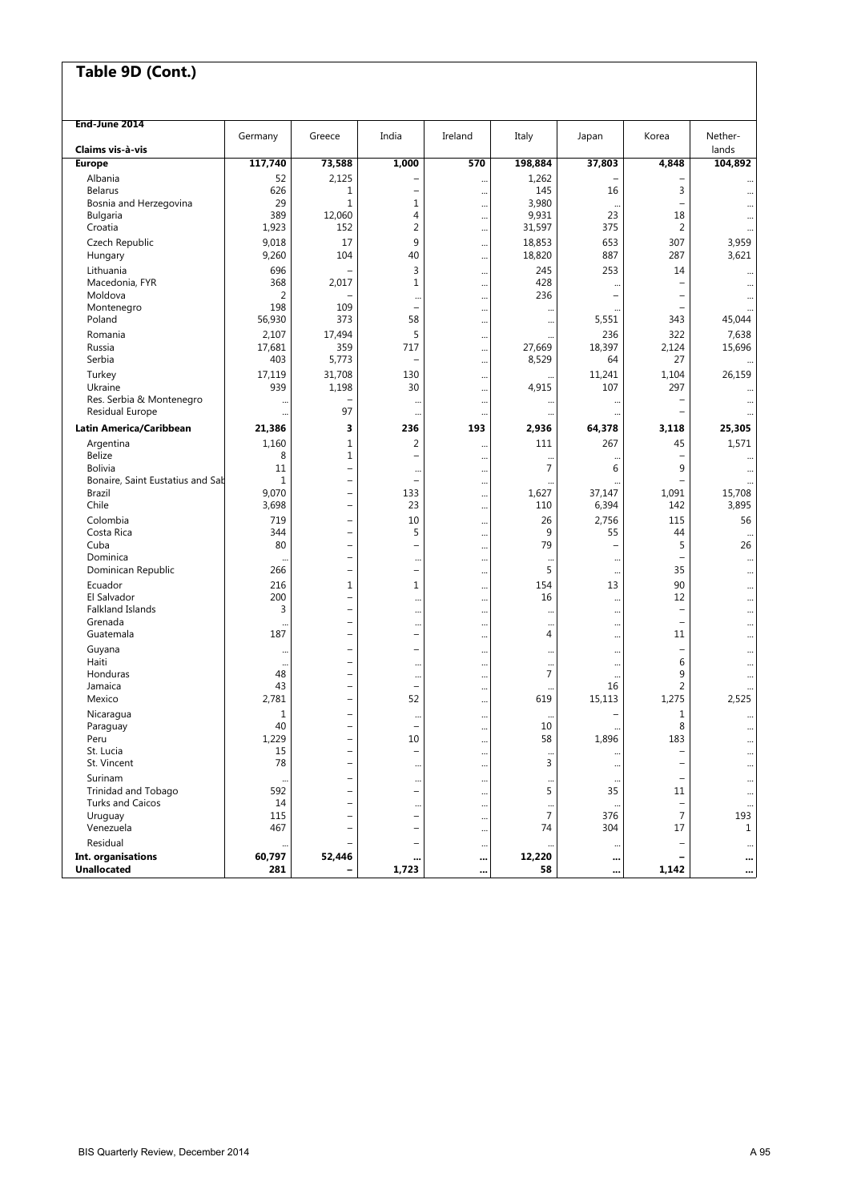| India<br>Nether-<br>Ireland<br>Italy<br>Korea<br>Germany<br>Greece<br>Japan<br>Claims vis à-vis<br>lands<br>117,740<br>73,588<br>1,000<br>570<br>198,884<br>37,803<br>4,848<br>104,892<br><b>Europe</b><br>2,125<br>Albania<br>52<br>1,262<br><br>626<br>145<br>16<br>3<br><b>Belarus</b><br>1<br>$\overline{\phantom{0}}$<br><br><br>3,980<br>29<br>$1\,$<br>$\mathbf 1$<br>Bosnia and Herzegovina<br>$\overline{\phantom{a}}$<br><br><br><br>9,931<br>389<br>12,060<br>$\overline{4}$<br>23<br>18<br>Bulgaria<br><br>1,923<br>2<br>31,597<br>375<br>$\overline{2}$<br>Croatia<br>152<br><br><br>9<br>Czech Republic<br>9,018<br>17<br>18,853<br>653<br>307<br>3,959<br><br>9,260<br>104<br>40<br>18,820<br>887<br>287<br>3,621<br>Hungary<br><br>696<br>3<br>245<br>253<br>Lithuania<br>14<br>$\ddotsc$<br>368<br>428<br>Macedonia, FYR<br>2,017<br>1<br>$\overline{\phantom{m}}$<br>$\ddotsc$<br>$\ddotsc$<br>$\overline{2}$<br>236<br>Moldova<br>$\overline{\phantom{0}}$<br>-<br>$\ddotsc$<br>$\ddotsc$<br>$\cdots$<br>198<br>109<br>Montenegro<br>$\qquad \qquad -$<br>$\overline{\phantom{0}}$<br>$\ddotsc$<br>$\ddotsc$<br>58<br>56,930<br>373<br>5,551<br>343<br>45,044<br>Poland<br><br><br>2,107<br>5<br>322<br>7,638<br>17,494<br>236<br>Romania<br><br>17,681<br>359<br>27,669<br>18,397<br>15,696<br>Russia<br>717<br>2,124<br>$\ddotsc$<br>403<br>5,773<br>8,529<br>Serbia<br>64<br>27<br>$\cdots$<br>31,708<br>Turkey<br>17,119<br>130<br>11,241<br>1,104<br>26,159<br><br>939<br>107<br>297<br>Ukraine<br>1,198<br>30<br>4,915<br>$\cdots$<br>Res. Serbia & Montenegro<br>$\overline{\phantom{a}}$<br><br>$\ddotsc$<br><br>$\ddotsc$<br>Residual Europe<br>97<br>$\overline{\phantom{0}}$<br><br><br><br>Latin America/Caribbean<br>21,386<br>3<br>193<br>25,305<br>236<br>2,936<br>64,378<br>3,118<br>Argentina<br>1,160<br>$1\,$<br>2<br>111<br>267<br>45<br>1,571<br><br><b>Belize</b><br>$1\,$<br>8<br>$\overline{\phantom{0}}$<br>$\overline{\phantom{m}}$<br>$\cdots$<br>$\ddotsc$<br>$\cdots$<br>$\overline{7}$<br><b>Bolivia</b><br>6<br>9<br>11<br>$\overline{\phantom{0}}$<br>$\cdots$<br>$\cdots$<br>$\cdots$<br>Bonaire, Saint Eustatius and Sab<br>$\mathbf{1}$<br>$\qquad \qquad -$<br>$\overline{\phantom{0}}$<br>$\overline{\phantom{0}}$<br>$\ddotsc$<br>9,070<br>133<br>1,627<br>37,147<br>1,091<br>15,708<br>Brazil<br>$\overline{\phantom{a}}$<br><br>Chile<br>3,698<br>23<br>6,394<br>142<br>3,895<br>110<br>$\overline{\phantom{0}}$<br>$\cdots$<br>Colombia<br>719<br>10<br>26<br>2,756<br>115<br>56<br>$\overline{\phantom{0}}$<br><br>Costa Rica<br>344<br>5<br>9<br>55<br>44<br>$\overline{\phantom{0}}$<br><br>$\ddotsc$<br>79<br>5<br>26<br>80<br>Cuba<br>$\qquad \qquad -$<br>$\overline{\phantom{0}}$<br>$\overline{\phantom{0}}$<br><br>Dominica<br>$\qquad \qquad -$<br>$\ddotsc$<br><br>$\ddotsc$<br><br>5<br>Dominican Republic<br>266<br>35<br>$\qquad \qquad -$<br>$\overline{\phantom{0}}$<br>$\ddotsc$<br>$\cdots$<br>$\ddotsc$<br>90<br>Ecuador<br>216<br>$1\,$<br>1<br>154<br>13<br><br><br>200<br>12<br>El Salvador<br>16<br>$\overline{\phantom{0}}$<br><br><br>$\ddotsc$<br><br><b>Falkland Islands</b><br>3<br>$\overline{\phantom{0}}$<br>$\overline{\phantom{m}}$<br><br><br>$\cdot$<br>$\ddotsc$<br><br>Grenada<br>$\overline{\phantom{a}}$<br>$\overline{\phantom{0}}$<br><br><br>$\ddotsc$<br>$\ddotsc$<br><br>Guatemala<br>187<br>4<br>11<br>$\qquad \qquad -$<br>$\qquad \qquad -$<br><br><br><br>Guyana<br>$\qquad \qquad -$<br>$\overline{\phantom{0}}$<br>$\overline{\phantom{0}}$<br><br><br><br>$\ddotsc$<br>$\ddotsc$<br>Haiti<br>6<br>L.<br><br><br>$\ddotsc$<br><br><br>$\ddotsc$<br>Honduras<br>7<br>9<br>48<br>$\overline{\phantom{0}}$<br><br><br><br>$\ddotsc$<br>$\overline{2}$<br>43<br>16<br>Jamaica<br>$\equiv$<br>$\overline{\phantom{0}}$<br><br>52<br>619<br>1,275<br>2,525<br>Mexico<br>2,781<br>15,113<br>$\overline{\phantom{m}}$<br>$\ddotsc$<br>Nicaragua<br>1<br>1<br><br>$\ddotsc$<br>$\cdots$<br>40<br>8<br>10<br>Paraguay<br>$\overline{\phantom{0}}$<br><br>$\cdots$<br>1,229<br>10<br>58<br>1,896<br>183<br>Peru<br>$\overline{\phantom{0}}$<br>$\cdots$<br>$\cdots$<br>St. Lucia<br>15<br>$\overline{\phantom{m}}$<br>-<br>$\overline{\phantom{m}}$<br><br>$\ddot{\phantom{0}}$<br>$\cdots$<br>3<br>St. Vincent<br>78<br>$\overline{\phantom{a}}$<br>$\overline{\phantom{a}}$<br><br>$\ddotsc$<br>$\cdots$<br>$\ddotsc$<br>Surinam<br>$\overline{\phantom{0}}$<br>$\qquad \qquad -$<br><br>$\cdots$<br>$\cdots$<br>$\ddot{\phantom{0}}$<br>$\ddotsc$<br>5<br>592<br>Trinidad and Tobago<br>35<br>$\overline{\phantom{0}}$<br>11<br>$\overline{\phantom{0}}$<br>$\ddotsc$<br>$\cdots$<br><b>Turks and Caicos</b><br>14<br>$\overline{\phantom{a}}$<br>$\overline{\phantom{0}}$<br><br><br>$\ddotsc$<br>$\overline{7}$<br>7<br>376<br>193<br>Uruguay<br>115<br>÷,<br>$\overline{\phantom{0}}$<br>$\cdots$<br>Venezuela<br>467<br>74<br>304<br>17<br>$\mathbf{1}$<br>$\overline{\phantom{a}}$<br>-<br>$\cdots$<br>Residual<br>$\overline{\phantom{0}}$<br>$\qquad \qquad -$<br>$\ddotsc$<br>Int. organisations<br>60,797<br>52,446<br>12,220<br>$\qquad \qquad$<br><br><br><br> | End-June 2014      |     |       |        |           |  |
|---------------------------------------------------------------------------------------------------------------------------------------------------------------------------------------------------------------------------------------------------------------------------------------------------------------------------------------------------------------------------------------------------------------------------------------------------------------------------------------------------------------------------------------------------------------------------------------------------------------------------------------------------------------------------------------------------------------------------------------------------------------------------------------------------------------------------------------------------------------------------------------------------------------------------------------------------------------------------------------------------------------------------------------------------------------------------------------------------------------------------------------------------------------------------------------------------------------------------------------------------------------------------------------------------------------------------------------------------------------------------------------------------------------------------------------------------------------------------------------------------------------------------------------------------------------------------------------------------------------------------------------------------------------------------------------------------------------------------------------------------------------------------------------------------------------------------------------------------------------------------------------------------------------------------------------------------------------------------------------------------------------------------------------------------------------------------------------------------------------------------------------------------------------------------------------------------------------------------------------------------------------------------------------------------------------------------------------------------------------------------------------------------------------------------------------------------------------------------------------------------------------------------------------------------------------------------------------------------------------------------------------------------------------------------------------------------------------------------------------------------------------------------------------------------------------------------------------------------------------------------------------------------------------------------------------------------------------------------------------------------------------------------------------------------------------------------------------------------------------------------------------------------------------------------------------------------------------------------------------------------------------------------------------------------------------------------------------------------------------------------------------------------------------------------------------------------------------------------------------------------------------------------------------------------------------------------------------------------------------------------------------------------------------------------------------------------------------------------------------------------------------------------------------------------------------------------------------------------------------------------------------------------------------------------------------------------------------------------------------------------------------------------------------------------------------------------------------------------------------------------------------------------------------------------------------------------------------------------------------------------------------------------------------------------------------------------------------------------------------------------------------------------------------------------------------------------------------------------------------------------------------------------------------------------------------------------------------------------------------------------------------------------------------------------------------------------------------------------------------------------------------------------------------------------------------------------------------------------------------------------------------------------------------------------------------------------------------------------------------------------------------------------------------------------------------------------------------------------------------------------------------------------------------------------------|--------------------|-----|-------|--------|-----------|--|
|                                                                                                                                                                                                                                                                                                                                                                                                                                                                                                                                                                                                                                                                                                                                                                                                                                                                                                                                                                                                                                                                                                                                                                                                                                                                                                                                                                                                                                                                                                                                                                                                                                                                                                                                                                                                                                                                                                                                                                                                                                                                                                                                                                                                                                                                                                                                                                                                                                                                                                                                                                                                                                                                                                                                                                                                                                                                                                                                                                                                                                                                                                                                                                                                                                                                                                                                                                                                                                                                                                                                                                                                                                                                                                                                                                                                                                                                                                                                                                                                                                                                                                                                                                                                                                                                                                                                                                                                                                                                                                                                                                                                                                                                                                                                                                                                                                                                                                                                                                                                                                                                                                                                                                                 |                    |     |       |        |           |  |
|                                                                                                                                                                                                                                                                                                                                                                                                                                                                                                                                                                                                                                                                                                                                                                                                                                                                                                                                                                                                                                                                                                                                                                                                                                                                                                                                                                                                                                                                                                                                                                                                                                                                                                                                                                                                                                                                                                                                                                                                                                                                                                                                                                                                                                                                                                                                                                                                                                                                                                                                                                                                                                                                                                                                                                                                                                                                                                                                                                                                                                                                                                                                                                                                                                                                                                                                                                                                                                                                                                                                                                                                                                                                                                                                                                                                                                                                                                                                                                                                                                                                                                                                                                                                                                                                                                                                                                                                                                                                                                                                                                                                                                                                                                                                                                                                                                                                                                                                                                                                                                                                                                                                                                                 |                    |     |       |        |           |  |
|                                                                                                                                                                                                                                                                                                                                                                                                                                                                                                                                                                                                                                                                                                                                                                                                                                                                                                                                                                                                                                                                                                                                                                                                                                                                                                                                                                                                                                                                                                                                                                                                                                                                                                                                                                                                                                                                                                                                                                                                                                                                                                                                                                                                                                                                                                                                                                                                                                                                                                                                                                                                                                                                                                                                                                                                                                                                                                                                                                                                                                                                                                                                                                                                                                                                                                                                                                                                                                                                                                                                                                                                                                                                                                                                                                                                                                                                                                                                                                                                                                                                                                                                                                                                                                                                                                                                                                                                                                                                                                                                                                                                                                                                                                                                                                                                                                                                                                                                                                                                                                                                                                                                                                                 |                    |     |       |        |           |  |
|                                                                                                                                                                                                                                                                                                                                                                                                                                                                                                                                                                                                                                                                                                                                                                                                                                                                                                                                                                                                                                                                                                                                                                                                                                                                                                                                                                                                                                                                                                                                                                                                                                                                                                                                                                                                                                                                                                                                                                                                                                                                                                                                                                                                                                                                                                                                                                                                                                                                                                                                                                                                                                                                                                                                                                                                                                                                                                                                                                                                                                                                                                                                                                                                                                                                                                                                                                                                                                                                                                                                                                                                                                                                                                                                                                                                                                                                                                                                                                                                                                                                                                                                                                                                                                                                                                                                                                                                                                                                                                                                                                                                                                                                                                                                                                                                                                                                                                                                                                                                                                                                                                                                                                                 |                    |     |       |        |           |  |
|                                                                                                                                                                                                                                                                                                                                                                                                                                                                                                                                                                                                                                                                                                                                                                                                                                                                                                                                                                                                                                                                                                                                                                                                                                                                                                                                                                                                                                                                                                                                                                                                                                                                                                                                                                                                                                                                                                                                                                                                                                                                                                                                                                                                                                                                                                                                                                                                                                                                                                                                                                                                                                                                                                                                                                                                                                                                                                                                                                                                                                                                                                                                                                                                                                                                                                                                                                                                                                                                                                                                                                                                                                                                                                                                                                                                                                                                                                                                                                                                                                                                                                                                                                                                                                                                                                                                                                                                                                                                                                                                                                                                                                                                                                                                                                                                                                                                                                                                                                                                                                                                                                                                                                                 |                    |     |       |        |           |  |
|                                                                                                                                                                                                                                                                                                                                                                                                                                                                                                                                                                                                                                                                                                                                                                                                                                                                                                                                                                                                                                                                                                                                                                                                                                                                                                                                                                                                                                                                                                                                                                                                                                                                                                                                                                                                                                                                                                                                                                                                                                                                                                                                                                                                                                                                                                                                                                                                                                                                                                                                                                                                                                                                                                                                                                                                                                                                                                                                                                                                                                                                                                                                                                                                                                                                                                                                                                                                                                                                                                                                                                                                                                                                                                                                                                                                                                                                                                                                                                                                                                                                                                                                                                                                                                                                                                                                                                                                                                                                                                                                                                                                                                                                                                                                                                                                                                                                                                                                                                                                                                                                                                                                                                                 |                    |     |       |        |           |  |
|                                                                                                                                                                                                                                                                                                                                                                                                                                                                                                                                                                                                                                                                                                                                                                                                                                                                                                                                                                                                                                                                                                                                                                                                                                                                                                                                                                                                                                                                                                                                                                                                                                                                                                                                                                                                                                                                                                                                                                                                                                                                                                                                                                                                                                                                                                                                                                                                                                                                                                                                                                                                                                                                                                                                                                                                                                                                                                                                                                                                                                                                                                                                                                                                                                                                                                                                                                                                                                                                                                                                                                                                                                                                                                                                                                                                                                                                                                                                                                                                                                                                                                                                                                                                                                                                                                                                                                                                                                                                                                                                                                                                                                                                                                                                                                                                                                                                                                                                                                                                                                                                                                                                                                                 |                    |     |       |        |           |  |
|                                                                                                                                                                                                                                                                                                                                                                                                                                                                                                                                                                                                                                                                                                                                                                                                                                                                                                                                                                                                                                                                                                                                                                                                                                                                                                                                                                                                                                                                                                                                                                                                                                                                                                                                                                                                                                                                                                                                                                                                                                                                                                                                                                                                                                                                                                                                                                                                                                                                                                                                                                                                                                                                                                                                                                                                                                                                                                                                                                                                                                                                                                                                                                                                                                                                                                                                                                                                                                                                                                                                                                                                                                                                                                                                                                                                                                                                                                                                                                                                                                                                                                                                                                                                                                                                                                                                                                                                                                                                                                                                                                                                                                                                                                                                                                                                                                                                                                                                                                                                                                                                                                                                                                                 |                    |     |       |        |           |  |
|                                                                                                                                                                                                                                                                                                                                                                                                                                                                                                                                                                                                                                                                                                                                                                                                                                                                                                                                                                                                                                                                                                                                                                                                                                                                                                                                                                                                                                                                                                                                                                                                                                                                                                                                                                                                                                                                                                                                                                                                                                                                                                                                                                                                                                                                                                                                                                                                                                                                                                                                                                                                                                                                                                                                                                                                                                                                                                                                                                                                                                                                                                                                                                                                                                                                                                                                                                                                                                                                                                                                                                                                                                                                                                                                                                                                                                                                                                                                                                                                                                                                                                                                                                                                                                                                                                                                                                                                                                                                                                                                                                                                                                                                                                                                                                                                                                                                                                                                                                                                                                                                                                                                                                                 |                    |     |       |        |           |  |
|                                                                                                                                                                                                                                                                                                                                                                                                                                                                                                                                                                                                                                                                                                                                                                                                                                                                                                                                                                                                                                                                                                                                                                                                                                                                                                                                                                                                                                                                                                                                                                                                                                                                                                                                                                                                                                                                                                                                                                                                                                                                                                                                                                                                                                                                                                                                                                                                                                                                                                                                                                                                                                                                                                                                                                                                                                                                                                                                                                                                                                                                                                                                                                                                                                                                                                                                                                                                                                                                                                                                                                                                                                                                                                                                                                                                                                                                                                                                                                                                                                                                                                                                                                                                                                                                                                                                                                                                                                                                                                                                                                                                                                                                                                                                                                                                                                                                                                                                                                                                                                                                                                                                                                                 |                    |     |       |        |           |  |
|                                                                                                                                                                                                                                                                                                                                                                                                                                                                                                                                                                                                                                                                                                                                                                                                                                                                                                                                                                                                                                                                                                                                                                                                                                                                                                                                                                                                                                                                                                                                                                                                                                                                                                                                                                                                                                                                                                                                                                                                                                                                                                                                                                                                                                                                                                                                                                                                                                                                                                                                                                                                                                                                                                                                                                                                                                                                                                                                                                                                                                                                                                                                                                                                                                                                                                                                                                                                                                                                                                                                                                                                                                                                                                                                                                                                                                                                                                                                                                                                                                                                                                                                                                                                                                                                                                                                                                                                                                                                                                                                                                                                                                                                                                                                                                                                                                                                                                                                                                                                                                                                                                                                                                                 |                    |     |       |        |           |  |
|                                                                                                                                                                                                                                                                                                                                                                                                                                                                                                                                                                                                                                                                                                                                                                                                                                                                                                                                                                                                                                                                                                                                                                                                                                                                                                                                                                                                                                                                                                                                                                                                                                                                                                                                                                                                                                                                                                                                                                                                                                                                                                                                                                                                                                                                                                                                                                                                                                                                                                                                                                                                                                                                                                                                                                                                                                                                                                                                                                                                                                                                                                                                                                                                                                                                                                                                                                                                                                                                                                                                                                                                                                                                                                                                                                                                                                                                                                                                                                                                                                                                                                                                                                                                                                                                                                                                                                                                                                                                                                                                                                                                                                                                                                                                                                                                                                                                                                                                                                                                                                                                                                                                                                                 |                    |     |       |        |           |  |
|                                                                                                                                                                                                                                                                                                                                                                                                                                                                                                                                                                                                                                                                                                                                                                                                                                                                                                                                                                                                                                                                                                                                                                                                                                                                                                                                                                                                                                                                                                                                                                                                                                                                                                                                                                                                                                                                                                                                                                                                                                                                                                                                                                                                                                                                                                                                                                                                                                                                                                                                                                                                                                                                                                                                                                                                                                                                                                                                                                                                                                                                                                                                                                                                                                                                                                                                                                                                                                                                                                                                                                                                                                                                                                                                                                                                                                                                                                                                                                                                                                                                                                                                                                                                                                                                                                                                                                                                                                                                                                                                                                                                                                                                                                                                                                                                                                                                                                                                                                                                                                                                                                                                                                                 |                    |     |       |        |           |  |
|                                                                                                                                                                                                                                                                                                                                                                                                                                                                                                                                                                                                                                                                                                                                                                                                                                                                                                                                                                                                                                                                                                                                                                                                                                                                                                                                                                                                                                                                                                                                                                                                                                                                                                                                                                                                                                                                                                                                                                                                                                                                                                                                                                                                                                                                                                                                                                                                                                                                                                                                                                                                                                                                                                                                                                                                                                                                                                                                                                                                                                                                                                                                                                                                                                                                                                                                                                                                                                                                                                                                                                                                                                                                                                                                                                                                                                                                                                                                                                                                                                                                                                                                                                                                                                                                                                                                                                                                                                                                                                                                                                                                                                                                                                                                                                                                                                                                                                                                                                                                                                                                                                                                                                                 |                    |     |       |        |           |  |
|                                                                                                                                                                                                                                                                                                                                                                                                                                                                                                                                                                                                                                                                                                                                                                                                                                                                                                                                                                                                                                                                                                                                                                                                                                                                                                                                                                                                                                                                                                                                                                                                                                                                                                                                                                                                                                                                                                                                                                                                                                                                                                                                                                                                                                                                                                                                                                                                                                                                                                                                                                                                                                                                                                                                                                                                                                                                                                                                                                                                                                                                                                                                                                                                                                                                                                                                                                                                                                                                                                                                                                                                                                                                                                                                                                                                                                                                                                                                                                                                                                                                                                                                                                                                                                                                                                                                                                                                                                                                                                                                                                                                                                                                                                                                                                                                                                                                                                                                                                                                                                                                                                                                                                                 |                    |     |       |        |           |  |
|                                                                                                                                                                                                                                                                                                                                                                                                                                                                                                                                                                                                                                                                                                                                                                                                                                                                                                                                                                                                                                                                                                                                                                                                                                                                                                                                                                                                                                                                                                                                                                                                                                                                                                                                                                                                                                                                                                                                                                                                                                                                                                                                                                                                                                                                                                                                                                                                                                                                                                                                                                                                                                                                                                                                                                                                                                                                                                                                                                                                                                                                                                                                                                                                                                                                                                                                                                                                                                                                                                                                                                                                                                                                                                                                                                                                                                                                                                                                                                                                                                                                                                                                                                                                                                                                                                                                                                                                                                                                                                                                                                                                                                                                                                                                                                                                                                                                                                                                                                                                                                                                                                                                                                                 |                    |     |       |        |           |  |
|                                                                                                                                                                                                                                                                                                                                                                                                                                                                                                                                                                                                                                                                                                                                                                                                                                                                                                                                                                                                                                                                                                                                                                                                                                                                                                                                                                                                                                                                                                                                                                                                                                                                                                                                                                                                                                                                                                                                                                                                                                                                                                                                                                                                                                                                                                                                                                                                                                                                                                                                                                                                                                                                                                                                                                                                                                                                                                                                                                                                                                                                                                                                                                                                                                                                                                                                                                                                                                                                                                                                                                                                                                                                                                                                                                                                                                                                                                                                                                                                                                                                                                                                                                                                                                                                                                                                                                                                                                                                                                                                                                                                                                                                                                                                                                                                                                                                                                                                                                                                                                                                                                                                                                                 |                    |     |       |        |           |  |
|                                                                                                                                                                                                                                                                                                                                                                                                                                                                                                                                                                                                                                                                                                                                                                                                                                                                                                                                                                                                                                                                                                                                                                                                                                                                                                                                                                                                                                                                                                                                                                                                                                                                                                                                                                                                                                                                                                                                                                                                                                                                                                                                                                                                                                                                                                                                                                                                                                                                                                                                                                                                                                                                                                                                                                                                                                                                                                                                                                                                                                                                                                                                                                                                                                                                                                                                                                                                                                                                                                                                                                                                                                                                                                                                                                                                                                                                                                                                                                                                                                                                                                                                                                                                                                                                                                                                                                                                                                                                                                                                                                                                                                                                                                                                                                                                                                                                                                                                                                                                                                                                                                                                                                                 |                    |     |       |        |           |  |
|                                                                                                                                                                                                                                                                                                                                                                                                                                                                                                                                                                                                                                                                                                                                                                                                                                                                                                                                                                                                                                                                                                                                                                                                                                                                                                                                                                                                                                                                                                                                                                                                                                                                                                                                                                                                                                                                                                                                                                                                                                                                                                                                                                                                                                                                                                                                                                                                                                                                                                                                                                                                                                                                                                                                                                                                                                                                                                                                                                                                                                                                                                                                                                                                                                                                                                                                                                                                                                                                                                                                                                                                                                                                                                                                                                                                                                                                                                                                                                                                                                                                                                                                                                                                                                                                                                                                                                                                                                                                                                                                                                                                                                                                                                                                                                                                                                                                                                                                                                                                                                                                                                                                                                                 |                    |     |       |        |           |  |
|                                                                                                                                                                                                                                                                                                                                                                                                                                                                                                                                                                                                                                                                                                                                                                                                                                                                                                                                                                                                                                                                                                                                                                                                                                                                                                                                                                                                                                                                                                                                                                                                                                                                                                                                                                                                                                                                                                                                                                                                                                                                                                                                                                                                                                                                                                                                                                                                                                                                                                                                                                                                                                                                                                                                                                                                                                                                                                                                                                                                                                                                                                                                                                                                                                                                                                                                                                                                                                                                                                                                                                                                                                                                                                                                                                                                                                                                                                                                                                                                                                                                                                                                                                                                                                                                                                                                                                                                                                                                                                                                                                                                                                                                                                                                                                                                                                                                                                                                                                                                                                                                                                                                                                                 |                    |     |       |        |           |  |
|                                                                                                                                                                                                                                                                                                                                                                                                                                                                                                                                                                                                                                                                                                                                                                                                                                                                                                                                                                                                                                                                                                                                                                                                                                                                                                                                                                                                                                                                                                                                                                                                                                                                                                                                                                                                                                                                                                                                                                                                                                                                                                                                                                                                                                                                                                                                                                                                                                                                                                                                                                                                                                                                                                                                                                                                                                                                                                                                                                                                                                                                                                                                                                                                                                                                                                                                                                                                                                                                                                                                                                                                                                                                                                                                                                                                                                                                                                                                                                                                                                                                                                                                                                                                                                                                                                                                                                                                                                                                                                                                                                                                                                                                                                                                                                                                                                                                                                                                                                                                                                                                                                                                                                                 |                    |     |       |        |           |  |
|                                                                                                                                                                                                                                                                                                                                                                                                                                                                                                                                                                                                                                                                                                                                                                                                                                                                                                                                                                                                                                                                                                                                                                                                                                                                                                                                                                                                                                                                                                                                                                                                                                                                                                                                                                                                                                                                                                                                                                                                                                                                                                                                                                                                                                                                                                                                                                                                                                                                                                                                                                                                                                                                                                                                                                                                                                                                                                                                                                                                                                                                                                                                                                                                                                                                                                                                                                                                                                                                                                                                                                                                                                                                                                                                                                                                                                                                                                                                                                                                                                                                                                                                                                                                                                                                                                                                                                                                                                                                                                                                                                                                                                                                                                                                                                                                                                                                                                                                                                                                                                                                                                                                                                                 |                    |     |       |        |           |  |
|                                                                                                                                                                                                                                                                                                                                                                                                                                                                                                                                                                                                                                                                                                                                                                                                                                                                                                                                                                                                                                                                                                                                                                                                                                                                                                                                                                                                                                                                                                                                                                                                                                                                                                                                                                                                                                                                                                                                                                                                                                                                                                                                                                                                                                                                                                                                                                                                                                                                                                                                                                                                                                                                                                                                                                                                                                                                                                                                                                                                                                                                                                                                                                                                                                                                                                                                                                                                                                                                                                                                                                                                                                                                                                                                                                                                                                                                                                                                                                                                                                                                                                                                                                                                                                                                                                                                                                                                                                                                                                                                                                                                                                                                                                                                                                                                                                                                                                                                                                                                                                                                                                                                                                                 |                    |     |       |        |           |  |
|                                                                                                                                                                                                                                                                                                                                                                                                                                                                                                                                                                                                                                                                                                                                                                                                                                                                                                                                                                                                                                                                                                                                                                                                                                                                                                                                                                                                                                                                                                                                                                                                                                                                                                                                                                                                                                                                                                                                                                                                                                                                                                                                                                                                                                                                                                                                                                                                                                                                                                                                                                                                                                                                                                                                                                                                                                                                                                                                                                                                                                                                                                                                                                                                                                                                                                                                                                                                                                                                                                                                                                                                                                                                                                                                                                                                                                                                                                                                                                                                                                                                                                                                                                                                                                                                                                                                                                                                                                                                                                                                                                                                                                                                                                                                                                                                                                                                                                                                                                                                                                                                                                                                                                                 |                    |     |       |        |           |  |
|                                                                                                                                                                                                                                                                                                                                                                                                                                                                                                                                                                                                                                                                                                                                                                                                                                                                                                                                                                                                                                                                                                                                                                                                                                                                                                                                                                                                                                                                                                                                                                                                                                                                                                                                                                                                                                                                                                                                                                                                                                                                                                                                                                                                                                                                                                                                                                                                                                                                                                                                                                                                                                                                                                                                                                                                                                                                                                                                                                                                                                                                                                                                                                                                                                                                                                                                                                                                                                                                                                                                                                                                                                                                                                                                                                                                                                                                                                                                                                                                                                                                                                                                                                                                                                                                                                                                                                                                                                                                                                                                                                                                                                                                                                                                                                                                                                                                                                                                                                                                                                                                                                                                                                                 |                    |     |       |        |           |  |
|                                                                                                                                                                                                                                                                                                                                                                                                                                                                                                                                                                                                                                                                                                                                                                                                                                                                                                                                                                                                                                                                                                                                                                                                                                                                                                                                                                                                                                                                                                                                                                                                                                                                                                                                                                                                                                                                                                                                                                                                                                                                                                                                                                                                                                                                                                                                                                                                                                                                                                                                                                                                                                                                                                                                                                                                                                                                                                                                                                                                                                                                                                                                                                                                                                                                                                                                                                                                                                                                                                                                                                                                                                                                                                                                                                                                                                                                                                                                                                                                                                                                                                                                                                                                                                                                                                                                                                                                                                                                                                                                                                                                                                                                                                                                                                                                                                                                                                                                                                                                                                                                                                                                                                                 |                    |     |       |        |           |  |
|                                                                                                                                                                                                                                                                                                                                                                                                                                                                                                                                                                                                                                                                                                                                                                                                                                                                                                                                                                                                                                                                                                                                                                                                                                                                                                                                                                                                                                                                                                                                                                                                                                                                                                                                                                                                                                                                                                                                                                                                                                                                                                                                                                                                                                                                                                                                                                                                                                                                                                                                                                                                                                                                                                                                                                                                                                                                                                                                                                                                                                                                                                                                                                                                                                                                                                                                                                                                                                                                                                                                                                                                                                                                                                                                                                                                                                                                                                                                                                                                                                                                                                                                                                                                                                                                                                                                                                                                                                                                                                                                                                                                                                                                                                                                                                                                                                                                                                                                                                                                                                                                                                                                                                                 |                    |     |       |        |           |  |
|                                                                                                                                                                                                                                                                                                                                                                                                                                                                                                                                                                                                                                                                                                                                                                                                                                                                                                                                                                                                                                                                                                                                                                                                                                                                                                                                                                                                                                                                                                                                                                                                                                                                                                                                                                                                                                                                                                                                                                                                                                                                                                                                                                                                                                                                                                                                                                                                                                                                                                                                                                                                                                                                                                                                                                                                                                                                                                                                                                                                                                                                                                                                                                                                                                                                                                                                                                                                                                                                                                                                                                                                                                                                                                                                                                                                                                                                                                                                                                                                                                                                                                                                                                                                                                                                                                                                                                                                                                                                                                                                                                                                                                                                                                                                                                                                                                                                                                                                                                                                                                                                                                                                                                                 |                    |     |       |        |           |  |
|                                                                                                                                                                                                                                                                                                                                                                                                                                                                                                                                                                                                                                                                                                                                                                                                                                                                                                                                                                                                                                                                                                                                                                                                                                                                                                                                                                                                                                                                                                                                                                                                                                                                                                                                                                                                                                                                                                                                                                                                                                                                                                                                                                                                                                                                                                                                                                                                                                                                                                                                                                                                                                                                                                                                                                                                                                                                                                                                                                                                                                                                                                                                                                                                                                                                                                                                                                                                                                                                                                                                                                                                                                                                                                                                                                                                                                                                                                                                                                                                                                                                                                                                                                                                                                                                                                                                                                                                                                                                                                                                                                                                                                                                                                                                                                                                                                                                                                                                                                                                                                                                                                                                                                                 |                    |     |       |        |           |  |
|                                                                                                                                                                                                                                                                                                                                                                                                                                                                                                                                                                                                                                                                                                                                                                                                                                                                                                                                                                                                                                                                                                                                                                                                                                                                                                                                                                                                                                                                                                                                                                                                                                                                                                                                                                                                                                                                                                                                                                                                                                                                                                                                                                                                                                                                                                                                                                                                                                                                                                                                                                                                                                                                                                                                                                                                                                                                                                                                                                                                                                                                                                                                                                                                                                                                                                                                                                                                                                                                                                                                                                                                                                                                                                                                                                                                                                                                                                                                                                                                                                                                                                                                                                                                                                                                                                                                                                                                                                                                                                                                                                                                                                                                                                                                                                                                                                                                                                                                                                                                                                                                                                                                                                                 |                    |     |       |        |           |  |
|                                                                                                                                                                                                                                                                                                                                                                                                                                                                                                                                                                                                                                                                                                                                                                                                                                                                                                                                                                                                                                                                                                                                                                                                                                                                                                                                                                                                                                                                                                                                                                                                                                                                                                                                                                                                                                                                                                                                                                                                                                                                                                                                                                                                                                                                                                                                                                                                                                                                                                                                                                                                                                                                                                                                                                                                                                                                                                                                                                                                                                                                                                                                                                                                                                                                                                                                                                                                                                                                                                                                                                                                                                                                                                                                                                                                                                                                                                                                                                                                                                                                                                                                                                                                                                                                                                                                                                                                                                                                                                                                                                                                                                                                                                                                                                                                                                                                                                                                                                                                                                                                                                                                                                                 |                    |     |       |        |           |  |
|                                                                                                                                                                                                                                                                                                                                                                                                                                                                                                                                                                                                                                                                                                                                                                                                                                                                                                                                                                                                                                                                                                                                                                                                                                                                                                                                                                                                                                                                                                                                                                                                                                                                                                                                                                                                                                                                                                                                                                                                                                                                                                                                                                                                                                                                                                                                                                                                                                                                                                                                                                                                                                                                                                                                                                                                                                                                                                                                                                                                                                                                                                                                                                                                                                                                                                                                                                                                                                                                                                                                                                                                                                                                                                                                                                                                                                                                                                                                                                                                                                                                                                                                                                                                                                                                                                                                                                                                                                                                                                                                                                                                                                                                                                                                                                                                                                                                                                                                                                                                                                                                                                                                                                                 |                    |     |       |        |           |  |
|                                                                                                                                                                                                                                                                                                                                                                                                                                                                                                                                                                                                                                                                                                                                                                                                                                                                                                                                                                                                                                                                                                                                                                                                                                                                                                                                                                                                                                                                                                                                                                                                                                                                                                                                                                                                                                                                                                                                                                                                                                                                                                                                                                                                                                                                                                                                                                                                                                                                                                                                                                                                                                                                                                                                                                                                                                                                                                                                                                                                                                                                                                                                                                                                                                                                                                                                                                                                                                                                                                                                                                                                                                                                                                                                                                                                                                                                                                                                                                                                                                                                                                                                                                                                                                                                                                                                                                                                                                                                                                                                                                                                                                                                                                                                                                                                                                                                                                                                                                                                                                                                                                                                                                                 |                    |     |       |        |           |  |
|                                                                                                                                                                                                                                                                                                                                                                                                                                                                                                                                                                                                                                                                                                                                                                                                                                                                                                                                                                                                                                                                                                                                                                                                                                                                                                                                                                                                                                                                                                                                                                                                                                                                                                                                                                                                                                                                                                                                                                                                                                                                                                                                                                                                                                                                                                                                                                                                                                                                                                                                                                                                                                                                                                                                                                                                                                                                                                                                                                                                                                                                                                                                                                                                                                                                                                                                                                                                                                                                                                                                                                                                                                                                                                                                                                                                                                                                                                                                                                                                                                                                                                                                                                                                                                                                                                                                                                                                                                                                                                                                                                                                                                                                                                                                                                                                                                                                                                                                                                                                                                                                                                                                                                                 |                    |     |       |        |           |  |
|                                                                                                                                                                                                                                                                                                                                                                                                                                                                                                                                                                                                                                                                                                                                                                                                                                                                                                                                                                                                                                                                                                                                                                                                                                                                                                                                                                                                                                                                                                                                                                                                                                                                                                                                                                                                                                                                                                                                                                                                                                                                                                                                                                                                                                                                                                                                                                                                                                                                                                                                                                                                                                                                                                                                                                                                                                                                                                                                                                                                                                                                                                                                                                                                                                                                                                                                                                                                                                                                                                                                                                                                                                                                                                                                                                                                                                                                                                                                                                                                                                                                                                                                                                                                                                                                                                                                                                                                                                                                                                                                                                                                                                                                                                                                                                                                                                                                                                                                                                                                                                                                                                                                                                                 |                    |     |       |        |           |  |
|                                                                                                                                                                                                                                                                                                                                                                                                                                                                                                                                                                                                                                                                                                                                                                                                                                                                                                                                                                                                                                                                                                                                                                                                                                                                                                                                                                                                                                                                                                                                                                                                                                                                                                                                                                                                                                                                                                                                                                                                                                                                                                                                                                                                                                                                                                                                                                                                                                                                                                                                                                                                                                                                                                                                                                                                                                                                                                                                                                                                                                                                                                                                                                                                                                                                                                                                                                                                                                                                                                                                                                                                                                                                                                                                                                                                                                                                                                                                                                                                                                                                                                                                                                                                                                                                                                                                                                                                                                                                                                                                                                                                                                                                                                                                                                                                                                                                                                                                                                                                                                                                                                                                                                                 |                    |     |       |        |           |  |
|                                                                                                                                                                                                                                                                                                                                                                                                                                                                                                                                                                                                                                                                                                                                                                                                                                                                                                                                                                                                                                                                                                                                                                                                                                                                                                                                                                                                                                                                                                                                                                                                                                                                                                                                                                                                                                                                                                                                                                                                                                                                                                                                                                                                                                                                                                                                                                                                                                                                                                                                                                                                                                                                                                                                                                                                                                                                                                                                                                                                                                                                                                                                                                                                                                                                                                                                                                                                                                                                                                                                                                                                                                                                                                                                                                                                                                                                                                                                                                                                                                                                                                                                                                                                                                                                                                                                                                                                                                                                                                                                                                                                                                                                                                                                                                                                                                                                                                                                                                                                                                                                                                                                                                                 |                    |     |       |        |           |  |
|                                                                                                                                                                                                                                                                                                                                                                                                                                                                                                                                                                                                                                                                                                                                                                                                                                                                                                                                                                                                                                                                                                                                                                                                                                                                                                                                                                                                                                                                                                                                                                                                                                                                                                                                                                                                                                                                                                                                                                                                                                                                                                                                                                                                                                                                                                                                                                                                                                                                                                                                                                                                                                                                                                                                                                                                                                                                                                                                                                                                                                                                                                                                                                                                                                                                                                                                                                                                                                                                                                                                                                                                                                                                                                                                                                                                                                                                                                                                                                                                                                                                                                                                                                                                                                                                                                                                                                                                                                                                                                                                                                                                                                                                                                                                                                                                                                                                                                                                                                                                                                                                                                                                                                                 |                    |     |       |        |           |  |
|                                                                                                                                                                                                                                                                                                                                                                                                                                                                                                                                                                                                                                                                                                                                                                                                                                                                                                                                                                                                                                                                                                                                                                                                                                                                                                                                                                                                                                                                                                                                                                                                                                                                                                                                                                                                                                                                                                                                                                                                                                                                                                                                                                                                                                                                                                                                                                                                                                                                                                                                                                                                                                                                                                                                                                                                                                                                                                                                                                                                                                                                                                                                                                                                                                                                                                                                                                                                                                                                                                                                                                                                                                                                                                                                                                                                                                                                                                                                                                                                                                                                                                                                                                                                                                                                                                                                                                                                                                                                                                                                                                                                                                                                                                                                                                                                                                                                                                                                                                                                                                                                                                                                                                                 |                    |     |       |        |           |  |
|                                                                                                                                                                                                                                                                                                                                                                                                                                                                                                                                                                                                                                                                                                                                                                                                                                                                                                                                                                                                                                                                                                                                                                                                                                                                                                                                                                                                                                                                                                                                                                                                                                                                                                                                                                                                                                                                                                                                                                                                                                                                                                                                                                                                                                                                                                                                                                                                                                                                                                                                                                                                                                                                                                                                                                                                                                                                                                                                                                                                                                                                                                                                                                                                                                                                                                                                                                                                                                                                                                                                                                                                                                                                                                                                                                                                                                                                                                                                                                                                                                                                                                                                                                                                                                                                                                                                                                                                                                                                                                                                                                                                                                                                                                                                                                                                                                                                                                                                                                                                                                                                                                                                                                                 |                    |     |       |        |           |  |
|                                                                                                                                                                                                                                                                                                                                                                                                                                                                                                                                                                                                                                                                                                                                                                                                                                                                                                                                                                                                                                                                                                                                                                                                                                                                                                                                                                                                                                                                                                                                                                                                                                                                                                                                                                                                                                                                                                                                                                                                                                                                                                                                                                                                                                                                                                                                                                                                                                                                                                                                                                                                                                                                                                                                                                                                                                                                                                                                                                                                                                                                                                                                                                                                                                                                                                                                                                                                                                                                                                                                                                                                                                                                                                                                                                                                                                                                                                                                                                                                                                                                                                                                                                                                                                                                                                                                                                                                                                                                                                                                                                                                                                                                                                                                                                                                                                                                                                                                                                                                                                                                                                                                                                                 |                    |     |       |        |           |  |
|                                                                                                                                                                                                                                                                                                                                                                                                                                                                                                                                                                                                                                                                                                                                                                                                                                                                                                                                                                                                                                                                                                                                                                                                                                                                                                                                                                                                                                                                                                                                                                                                                                                                                                                                                                                                                                                                                                                                                                                                                                                                                                                                                                                                                                                                                                                                                                                                                                                                                                                                                                                                                                                                                                                                                                                                                                                                                                                                                                                                                                                                                                                                                                                                                                                                                                                                                                                                                                                                                                                                                                                                                                                                                                                                                                                                                                                                                                                                                                                                                                                                                                                                                                                                                                                                                                                                                                                                                                                                                                                                                                                                                                                                                                                                                                                                                                                                                                                                                                                                                                                                                                                                                                                 |                    |     |       |        |           |  |
|                                                                                                                                                                                                                                                                                                                                                                                                                                                                                                                                                                                                                                                                                                                                                                                                                                                                                                                                                                                                                                                                                                                                                                                                                                                                                                                                                                                                                                                                                                                                                                                                                                                                                                                                                                                                                                                                                                                                                                                                                                                                                                                                                                                                                                                                                                                                                                                                                                                                                                                                                                                                                                                                                                                                                                                                                                                                                                                                                                                                                                                                                                                                                                                                                                                                                                                                                                                                                                                                                                                                                                                                                                                                                                                                                                                                                                                                                                                                                                                                                                                                                                                                                                                                                                                                                                                                                                                                                                                                                                                                                                                                                                                                                                                                                                                                                                                                                                                                                                                                                                                                                                                                                                                 |                    |     |       |        |           |  |
|                                                                                                                                                                                                                                                                                                                                                                                                                                                                                                                                                                                                                                                                                                                                                                                                                                                                                                                                                                                                                                                                                                                                                                                                                                                                                                                                                                                                                                                                                                                                                                                                                                                                                                                                                                                                                                                                                                                                                                                                                                                                                                                                                                                                                                                                                                                                                                                                                                                                                                                                                                                                                                                                                                                                                                                                                                                                                                                                                                                                                                                                                                                                                                                                                                                                                                                                                                                                                                                                                                                                                                                                                                                                                                                                                                                                                                                                                                                                                                                                                                                                                                                                                                                                                                                                                                                                                                                                                                                                                                                                                                                                                                                                                                                                                                                                                                                                                                                                                                                                                                                                                                                                                                                 |                    |     |       |        |           |  |
|                                                                                                                                                                                                                                                                                                                                                                                                                                                                                                                                                                                                                                                                                                                                                                                                                                                                                                                                                                                                                                                                                                                                                                                                                                                                                                                                                                                                                                                                                                                                                                                                                                                                                                                                                                                                                                                                                                                                                                                                                                                                                                                                                                                                                                                                                                                                                                                                                                                                                                                                                                                                                                                                                                                                                                                                                                                                                                                                                                                                                                                                                                                                                                                                                                                                                                                                                                                                                                                                                                                                                                                                                                                                                                                                                                                                                                                                                                                                                                                                                                                                                                                                                                                                                                                                                                                                                                                                                                                                                                                                                                                                                                                                                                                                                                                                                                                                                                                                                                                                                                                                                                                                                                                 |                    |     |       |        |           |  |
|                                                                                                                                                                                                                                                                                                                                                                                                                                                                                                                                                                                                                                                                                                                                                                                                                                                                                                                                                                                                                                                                                                                                                                                                                                                                                                                                                                                                                                                                                                                                                                                                                                                                                                                                                                                                                                                                                                                                                                                                                                                                                                                                                                                                                                                                                                                                                                                                                                                                                                                                                                                                                                                                                                                                                                                                                                                                                                                                                                                                                                                                                                                                                                                                                                                                                                                                                                                                                                                                                                                                                                                                                                                                                                                                                                                                                                                                                                                                                                                                                                                                                                                                                                                                                                                                                                                                                                                                                                                                                                                                                                                                                                                                                                                                                                                                                                                                                                                                                                                                                                                                                                                                                                                 |                    |     |       |        |           |  |
|                                                                                                                                                                                                                                                                                                                                                                                                                                                                                                                                                                                                                                                                                                                                                                                                                                                                                                                                                                                                                                                                                                                                                                                                                                                                                                                                                                                                                                                                                                                                                                                                                                                                                                                                                                                                                                                                                                                                                                                                                                                                                                                                                                                                                                                                                                                                                                                                                                                                                                                                                                                                                                                                                                                                                                                                                                                                                                                                                                                                                                                                                                                                                                                                                                                                                                                                                                                                                                                                                                                                                                                                                                                                                                                                                                                                                                                                                                                                                                                                                                                                                                                                                                                                                                                                                                                                                                                                                                                                                                                                                                                                                                                                                                                                                                                                                                                                                                                                                                                                                                                                                                                                                                                 |                    |     |       |        |           |  |
|                                                                                                                                                                                                                                                                                                                                                                                                                                                                                                                                                                                                                                                                                                                                                                                                                                                                                                                                                                                                                                                                                                                                                                                                                                                                                                                                                                                                                                                                                                                                                                                                                                                                                                                                                                                                                                                                                                                                                                                                                                                                                                                                                                                                                                                                                                                                                                                                                                                                                                                                                                                                                                                                                                                                                                                                                                                                                                                                                                                                                                                                                                                                                                                                                                                                                                                                                                                                                                                                                                                                                                                                                                                                                                                                                                                                                                                                                                                                                                                                                                                                                                                                                                                                                                                                                                                                                                                                                                                                                                                                                                                                                                                                                                                                                                                                                                                                                                                                                                                                                                                                                                                                                                                 |                    |     |       |        |           |  |
|                                                                                                                                                                                                                                                                                                                                                                                                                                                                                                                                                                                                                                                                                                                                                                                                                                                                                                                                                                                                                                                                                                                                                                                                                                                                                                                                                                                                                                                                                                                                                                                                                                                                                                                                                                                                                                                                                                                                                                                                                                                                                                                                                                                                                                                                                                                                                                                                                                                                                                                                                                                                                                                                                                                                                                                                                                                                                                                                                                                                                                                                                                                                                                                                                                                                                                                                                                                                                                                                                                                                                                                                                                                                                                                                                                                                                                                                                                                                                                                                                                                                                                                                                                                                                                                                                                                                                                                                                                                                                                                                                                                                                                                                                                                                                                                                                                                                                                                                                                                                                                                                                                                                                                                 |                    |     |       |        |           |  |
|                                                                                                                                                                                                                                                                                                                                                                                                                                                                                                                                                                                                                                                                                                                                                                                                                                                                                                                                                                                                                                                                                                                                                                                                                                                                                                                                                                                                                                                                                                                                                                                                                                                                                                                                                                                                                                                                                                                                                                                                                                                                                                                                                                                                                                                                                                                                                                                                                                                                                                                                                                                                                                                                                                                                                                                                                                                                                                                                                                                                                                                                                                                                                                                                                                                                                                                                                                                                                                                                                                                                                                                                                                                                                                                                                                                                                                                                                                                                                                                                                                                                                                                                                                                                                                                                                                                                                                                                                                                                                                                                                                                                                                                                                                                                                                                                                                                                                                                                                                                                                                                                                                                                                                                 |                    |     |       |        |           |  |
|                                                                                                                                                                                                                                                                                                                                                                                                                                                                                                                                                                                                                                                                                                                                                                                                                                                                                                                                                                                                                                                                                                                                                                                                                                                                                                                                                                                                                                                                                                                                                                                                                                                                                                                                                                                                                                                                                                                                                                                                                                                                                                                                                                                                                                                                                                                                                                                                                                                                                                                                                                                                                                                                                                                                                                                                                                                                                                                                                                                                                                                                                                                                                                                                                                                                                                                                                                                                                                                                                                                                                                                                                                                                                                                                                                                                                                                                                                                                                                                                                                                                                                                                                                                                                                                                                                                                                                                                                                                                                                                                                                                                                                                                                                                                                                                                                                                                                                                                                                                                                                                                                                                                                                                 | <b>Unallocated</b> | 281 | 1,723 | <br>58 | <br>1,142 |  |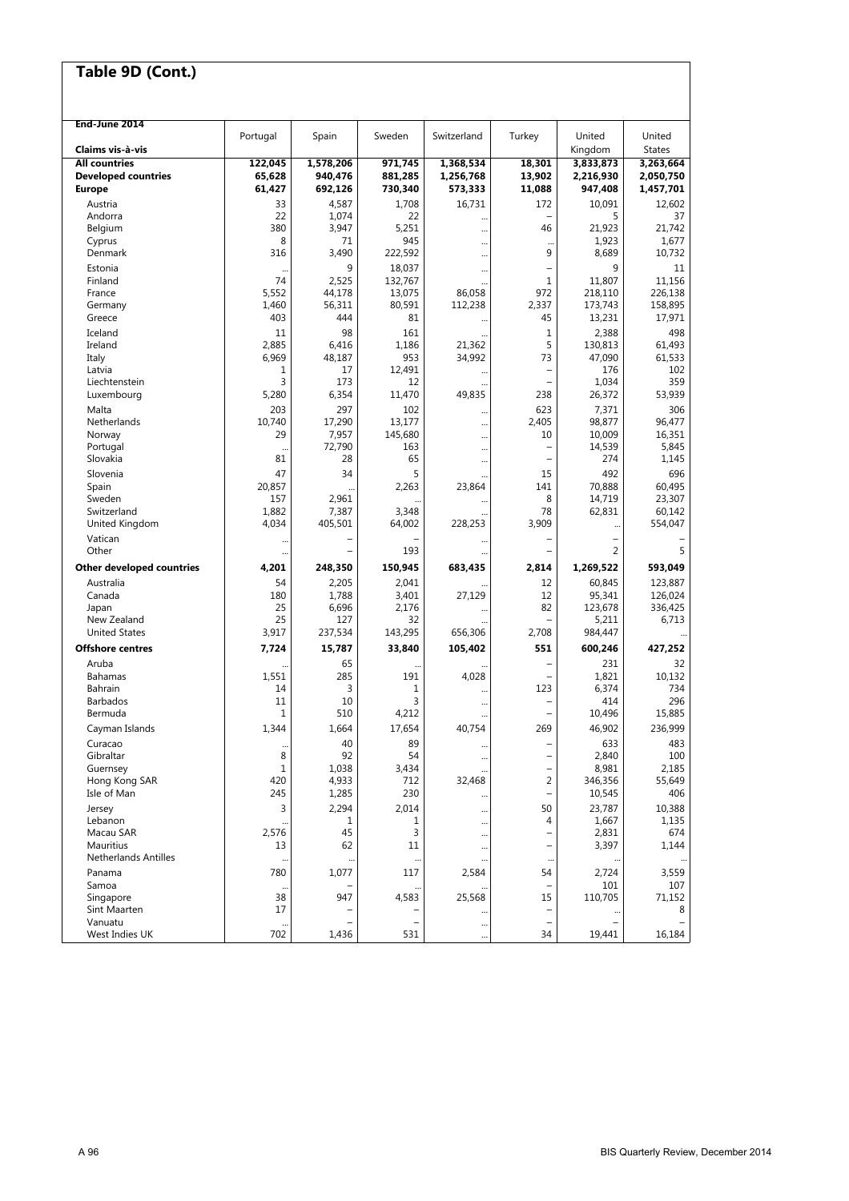| End-June 2014               |              |                          |                |             |                          |                   |                         |
|-----------------------------|--------------|--------------------------|----------------|-------------|--------------------------|-------------------|-------------------------|
| Claims vis à-vis            | Portugal     | Spain                    | Sweden         | Switzerland | Turkey                   | United            | United<br><b>States</b> |
|                             |              |                          |                |             |                          | Kingdom           |                         |
| <b>All countries</b>        | 122,045      | 1,578,206                | 971,745        | 1,368,534   | 18,301                   | 3,833,873         | 3,263,664               |
| <b>Developed countries</b>  | 65,628       | 940,476                  | 881,285        | 1,256,768   | 13,902                   | 2,216,930         | 2,050,750               |
| <b>Europe</b>               | 61,427       | 692,126                  | 730,340        | 573,333     | 11,088                   | 947,408           | 1,457,701               |
| Austria                     | 33           | 4,587                    | 1,708          | 16,731      | 172                      | 10,091            | 12.602                  |
| Andorra                     | 22           | 1,074                    | 22             |             |                          | 5                 | 37                      |
| Belgium                     | 380          | 3,947                    | 5,251          |             | 46                       | 21,923            | 21,742                  |
| Cyprus                      | 8            | 71                       | 945            |             | $\ddotsc$                | 1,923             | 1,677                   |
| Denmark                     | 316          | 3,490                    | 222,592        |             | 9                        | 8,689             | 10,732                  |
| Estonia                     |              | 9                        | 18,037         |             |                          | 9                 | 11                      |
| Finland                     | 74           | 2,525                    | 132,767        |             | 1                        | 11,807            | 11.156                  |
| France                      | 5,552        | 44,178                   | 13,075         | 86,058      | 972                      | 218,110           | 226,138                 |
| Germany                     | 1,460        | 56,311                   | 80,591         | 112,238     | 2,337                    | 173,743           | 158,895                 |
| Greece                      | 403          | 444                      | 81             |             | 45                       | 13,231            | 17,971                  |
| Iceland                     | 11           | 98                       | 161            |             | 1                        | 2,388             | 498                     |
| Ireland                     | 2,885        | 6,416                    | 1,186          | 21,362      | 5                        | 130,813           | 61,493                  |
| Italy                       | 6,969        | 48,187                   | 953            | 34,992      | 73                       | 47,090            | 61,533                  |
| Latvia                      | 1            | 17                       | 12,491         |             |                          | 176               | 102                     |
| Liechtenstein               | 3            | 173                      | 12             |             | $\qquad \qquad -$        | 1,034             | 359                     |
| Luxembourg                  | 5,280        | 6,354                    | 11,470         | 49,835      | 238                      | 26,372            | 53,939                  |
| Malta                       | 203          | 297                      | 102            | $\cdots$    | 623                      | 7,371             | 306                     |
| Netherlands                 | 10,740       | 17,290                   | 13,177         | $\ddotsc$   | 2,405                    | 98,877            | 96,477                  |
| Norway                      | 29           | 7,957                    | 145,680        |             | 10                       | 10,009            | 16,351                  |
| Portugal                    | $\ddotsc$    | 72,790                   | 163            |             | $\qquad \qquad -$        | 14,539            | 5,845                   |
| Slovakia                    | 81           | 28                       | 65             |             | $\qquad \qquad -$        | 274               | 1,145                   |
| Slovenia                    | 47           | 34                       | 5              |             | 15                       | 492               | 696                     |
| Spain                       | 20,857       |                          | 2.263          | 23,864      | 141                      | 70,888            | 60,495                  |
| Sweden                      | 157          | 2,961                    |                |             | 8                        | 14,719            | 23,307                  |
| Switzerland                 | 1,882        | 7,387                    | 3,348          |             | 78                       | 62,831            | 60,142                  |
| United Kingdom              | 4,034        | 405,501                  | 64,002         | 228,253     | 3,909                    |                   | 554,047                 |
| Vatican                     |              |                          |                |             |                          |                   |                         |
| Other                       |              | $\overline{\phantom{0}}$ | 193            |             |                          | 2                 | 5                       |
| Other developed countries   | 4,201        | 248,350                  | 150,945        | 683,435     | 2,814                    | 1,269,522         | 593,049                 |
|                             | 54           |                          |                |             |                          |                   |                         |
| Australia<br>Canada         | 180          | 2,205                    | 2,041          |             | 12<br>12                 | 60,845            | 123,887                 |
| Japan                       | 25           | 1,788<br>6,696           | 3,401<br>2,176 | 27,129      | 82                       | 95,341<br>123,678 | 126,024<br>336,425      |
| New Zealand                 | 25           | 127                      | 32             |             |                          | 5,211             | 6,713                   |
| <b>United States</b>        | 3,917        | 237,534                  | 143,295        | 656,306     | 2,708                    | 984,447           |                         |
|                             |              |                          |                |             |                          |                   |                         |
| <b>Offshore centres</b>     | 7,724        | 15,787                   | 33,840         | 105,402     | 551                      | 600,246           | 427,252                 |
| Aruba                       |              | 65                       |                |             | $\overline{\phantom{0}}$ | 231               | 32                      |
| Bahamas                     | 1,551        | 285                      | 191            | 4,028       |                          | 1,821             | 10,132                  |
| Bahrain                     | 14           | 3                        | 1              |             | 123                      | 6,374             | 734                     |
| <b>Barbados</b>             | 11           | 10                       | 3              |             |                          | 414               | 296                     |
| Bermuda                     | $\mathbf{1}$ | 510                      | 4,212          |             |                          | 10,496            | 15,885                  |
| Cayman Islands              | 1,344        | 1,664                    | 17,654         | 40,754      | 269                      | 46,902            | 236,999                 |
| Curacao                     |              | 40                       | 89             | $\cdots$    |                          | 633               | 483                     |
| Gibraltar                   | 8            | 92                       | 54             | $\ddotsc$   |                          | 2,840             | 100                     |
| Guernsey                    | $\mathbf 1$  | 1,038                    | 3,434          | $\ddotsc$   |                          | 8,981             | 2,185                   |
| Hong Kong SAR               | 420          | 4,933                    | 712            | 32,468      | 2                        | 346,356           | 55,649                  |
| Isle of Man                 | 245          | 1,285                    | 230            |             |                          | 10,545            | 406                     |
| Jersey                      | 3            | 2,294                    | 2,014          |             | 50                       | 23,787            | 10,388                  |
| Lebanon                     |              | 1                        | 1              |             | 4                        | 1,667             | 1,135                   |
| Macau SAR                   | 2,576        | 45                       | 3              |             |                          | 2,831             | 674                     |
| Mauritius                   | 13           | 62                       | 11             | $\cdots$    | $\overline{\phantom{0}}$ | 3,397             | 1,144                   |
| <b>Netherlands Antilles</b> | $\ddotsc$    |                          |                |             | $\cdots$                 |                   |                         |
| Panama                      | 780          | 1,077                    | 117            | 2,584       | 54                       | 2,724             | 3,559                   |
| Samoa                       |              |                          |                |             |                          | 101               | 107                     |
| Singapore                   | 38           | 947                      | 4,583          | 25,568      | 15                       | 110,705           | 71,152                  |
| Sint Maarten                | 17           |                          |                |             |                          |                   | 8                       |
| Vanuatu                     | $\cdots$     |                          |                | $\cdots$    | $\overline{\phantom{0}}$ |                   |                         |
| West Indies UK              | 702          | 1,436                    | 531            |             | 34                       | 19,441            | 16,184                  |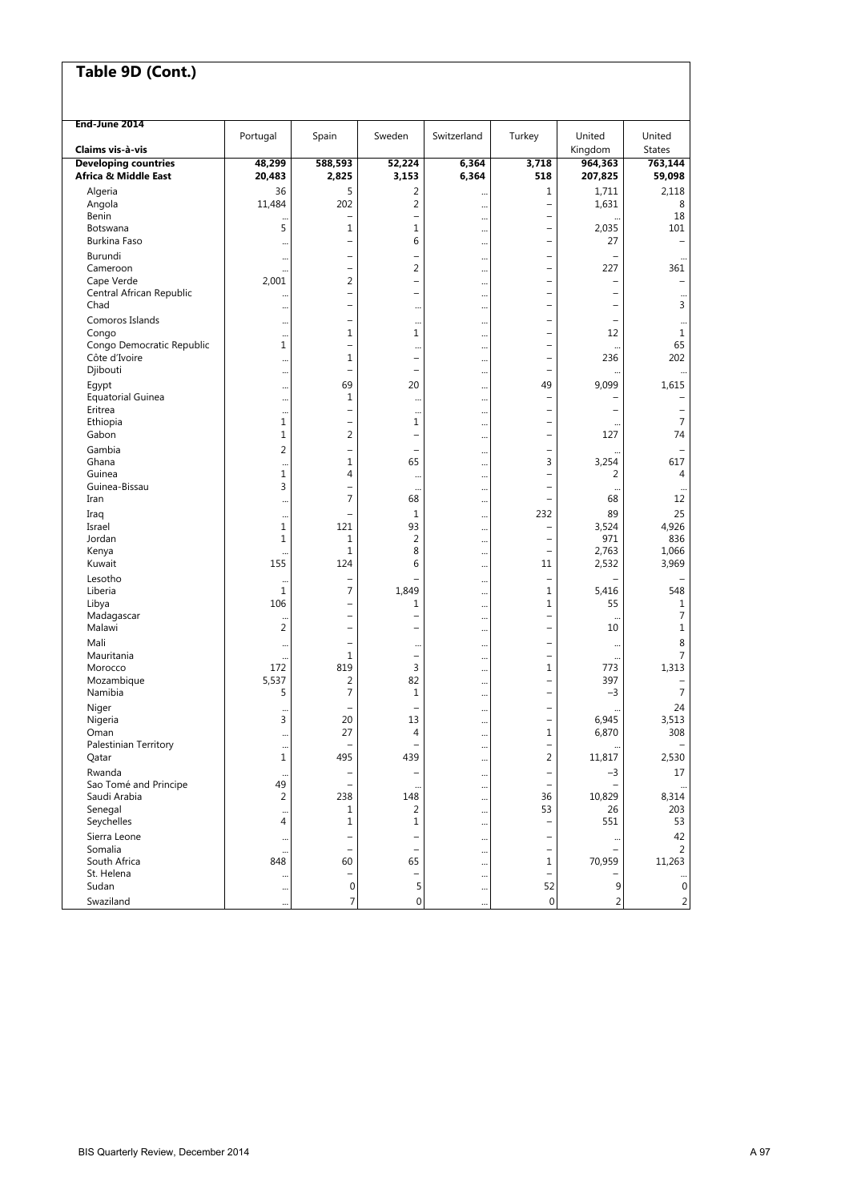| Table 9D (Cont.)                                    |                             |                               |                                       |                |                                                      |                    |                          |
|-----------------------------------------------------|-----------------------------|-------------------------------|---------------------------------------|----------------|------------------------------------------------------|--------------------|--------------------------|
|                                                     |                             |                               |                                       |                |                                                      |                    |                          |
|                                                     |                             |                               |                                       |                |                                                      |                    |                          |
| End-June 2014                                       | Portugal                    | Spain                         | Sweden                                | Switzerland    | Turkey                                               | United             | United                   |
| Claims vis à vis                                    |                             |                               |                                       |                |                                                      | Kingdom            | <b>States</b>            |
| <b>Developing countries</b><br>Africa & Middle East | 48,299<br>20,483            | 588,593<br>2,825              | 52,224<br>3,153                       | 6,364<br>6,364 | 3,718<br>518                                         | 964,363<br>207,825 | 763,144<br>59,098        |
| Algeria                                             | 36                          | 5                             | 2                                     |                | 1                                                    | 1,711              | 2,118                    |
| Angola<br>Benin                                     | 11,484                      | 202                           | $\overline{2}$                        | $\cdots$       | $\overline{\phantom{0}}$                             | 1,631              | 8<br>18                  |
| Botswana                                            | $\ddotsc$<br>5              | $\overline{\phantom{0}}$<br>1 | $\overline{\phantom{0}}$<br>1         | <br>           | $\overline{\phantom{0}}$<br>$\overline{\phantom{0}}$ | <br>2,035          | 101                      |
| Burkina Faso                                        | $\cdots$                    | $\overline{\phantom{0}}$      | 6                                     |                | $\overline{\phantom{0}}$                             | 27                 | $\qquad \qquad -$        |
| Burundi                                             |                             | -                             | -                                     |                | $\overline{\phantom{0}}$                             |                    |                          |
| Cameroon<br>Cape Verde                              | <br>2,001                   | -<br>2                        | 2<br>L,                               |                | $\overline{\phantom{0}}$<br>۰                        | 227                | 361<br>$\equiv$          |
| Central African Republic                            |                             | $\overline{\phantom{0}}$      | $\overline{\phantom{0}}$              | $\cdots$<br>   | $\overline{\phantom{0}}$                             | -                  |                          |
| Chad                                                | $\cdots$                    | $\overline{\phantom{0}}$      |                                       |                | $\overline{\phantom{0}}$                             |                    | 3                        |
| Comoros Islands                                     |                             | -                             |                                       |                | -                                                    |                    |                          |
| Congo<br>Congo Democratic Republic                  | $\cdots$<br>1               | 1<br>$\overline{\phantom{0}}$ | 1                                     |                | $\overline{\phantom{0}}$<br>$\overline{\phantom{0}}$ | 12                 | 1<br>65                  |
| Côte d'Ivoire                                       | $\cdots$                    | 1                             | $\ddotsc$<br>$\overline{\phantom{0}}$ | $\ddotsc$<br>  | $\overline{\phantom{0}}$                             | 236                | 202                      |
| Djibouti                                            |                             | -                             | $\overline{\phantom{0}}$              |                | $\overline{\phantom{0}}$                             |                    |                          |
| Egypt                                               | $\cdots$                    | 69                            | 20                                    |                | 49                                                   | 9,099              | 1,615                    |
| <b>Equatorial Guinea</b><br>Eritrea                 |                             | $\mathbf{1}$<br>-             |                                       |                | $\qquad \qquad -$                                    |                    |                          |
| Ethiopia                                            | $\ddotsc$<br>$\mathbf 1$    | $\overline{\phantom{0}}$      | $\ddotsc$<br>1                        | <br>$\ddotsc$  | $\overline{\phantom{0}}$                             | $\ddotsc$          | -<br>$\overline{7}$      |
| Gabon                                               | $\mathbf 1$                 | 2                             | $\overline{\phantom{0}}$              |                | $\overline{\phantom{0}}$                             | 127                | 74                       |
| Gambia                                              | $\overline{2}$              | $\overline{\phantom{0}}$      | $\qquad \qquad$                       |                | $\overline{\phantom{0}}$                             |                    |                          |
| Ghana<br>Guinea                                     | $\ddotsc$<br>$\mathbf 1$    | $\mathbf{1}$<br>4             | 65                                    |                | 3<br>$\overline{\phantom{0}}$                        | 3,254<br>2         | 617<br>4                 |
| Guinea-Bissau                                       | 3                           | -                             | <br>$\ddotsc$                         | <br>           | $\overline{\phantom{0}}$                             | $\ddotsc$          | $\cdots$                 |
| Iran                                                | $\ddotsc$                   | 7                             | 68                                    | $\ddotsc$      | $\equiv$                                             | 68                 | 12                       |
| Iraq                                                | $\ddotsc$                   | -                             | 1                                     |                | 232                                                  | 89                 | 25                       |
| Israel<br>Jordan                                    | $\mathbf 1$<br>$\mathbf{1}$ | 121<br>1                      | 93<br>$\overline{2}$                  |                | $\qquad \qquad -$                                    | 3,524<br>971       | 4,926<br>836             |
| Kenya                                               | $\ddot{\phantom{a}}$        | $\mathbf{1}$                  | 8                                     | <br>           | $\overline{\phantom{0}}$                             | 2,763              | 1,066                    |
| Kuwait                                              | 155                         | 124                           | 6                                     | $\cdots$       | 11                                                   | 2,532              | 3,969                    |
| Lesotho                                             | $\ddotsc$                   | $\overline{\phantom{0}}$      |                                       |                | $\qquad \qquad -$                                    |                    |                          |
| Liberia<br>Libya                                    | $\mathbf 1$<br>106          | 7<br>$\overline{\phantom{0}}$ | 1,849<br>1                            |                | 1<br>$\mathbf{1}$                                    | 5,416<br>55        | 548<br>1                 |
| Madagascar                                          |                             | $\overline{\phantom{0}}$      | $\overline{\phantom{0}}$              | <br>           | $\overline{\phantom{0}}$                             |                    | 7                        |
| Malawi                                              | 2                           | $\overline{\phantom{0}}$      | -                                     |                | $\overline{\phantom{0}}$                             | 10                 | 1                        |
| Mali                                                | $\cdots$                    | $\overline{\phantom{0}}$      |                                       |                |                                                      |                    | 8                        |
| Mauritania<br>Morocco                               | $\ddotsc$<br>172            | 1<br>819                      | $\overline{\phantom{0}}$<br>3         |                | $\overline{\phantom{0}}$<br>1                        | <br>773            | 7<br>1,313               |
| Mozambique                                          | 5,537                       | 2                             | 82                                    | <br>           | $\qquad \qquad -$                                    | 397                |                          |
| Namibia                                             | 5                           | 7                             | 1                                     |                | $\qquad \qquad -$                                    | $-3$               | $\overline{7}$           |
| Niger                                               | $\ddotsc$                   | $\qquad \qquad -$             | $\qquad \qquad -$                     |                | $\overline{\phantom{0}}$                             |                    | 24                       |
| Nigeria<br>Oman                                     | 3                           | 20<br>27                      | 13<br>4                               |                | $\qquad \qquad -$<br>$\mathbf 1$                     | 6,945<br>6,870     | 3,513<br>308             |
| Palestinian Territory                               | $\cdots$<br>$\ddotsc$       | -                             |                                       | <br>           | $\qquad \qquad -$                                    |                    | $\overline{\phantom{m}}$ |
| Qatar                                               | $\mathbf 1$                 | 495                           | 439                                   | $\cdots$       | $\overline{2}$                                       | 11,817             | 2,530                    |
| Rwanda                                              | $\cdots$                    | $\overline{\phantom{0}}$      | -                                     |                | $\qquad \qquad -$                                    | $-3$               | 17                       |
| Sao Tomé and Principe<br>Saudi Arabia               | 49<br>2                     | $\qquad \qquad -$<br>238      | $\ddotsc$<br>148                      |                | $\qquad \qquad -$<br>36                              | 10,829             | $\cdots$<br>8,314        |
| Senegal                                             | $\ddotsc$                   | 1                             | 2                                     | <br>           | 53                                                   | 26                 | 203                      |
| Seychelles                                          | 4                           | 1                             | 1                                     |                | $\overline{\phantom{0}}$                             | 551                | 53                       |
| Sierra Leone                                        | $\cdots$                    | $\overline{\phantom{0}}$      | -                                     | $\cdots$       | $\overline{\phantom{0}}$                             | $\cdots$           | 42                       |
| Somalia<br>South Africa                             | $\cdots$<br>848             | $\qquad \qquad -$<br>60       | $\qquad \qquad -$<br>65               |                | $\overline{\phantom{0}}$<br>1                        | 70,959             | 2<br>11,263              |
| St. Helena                                          | $\cdots$                    | $\overline{\phantom{0}}$      | $\overline{\phantom{0}}$              | <br>           | $\qquad \qquad -$                                    |                    |                          |
| Sudan                                               | $\cdots$                    | $\boldsymbol{0}$              | 5                                     | $\cdots$       | 52                                                   | 9                  | $\mathbf 0$              |
| Swaziland                                           | $\ddotsc$                   | 7                             | 0                                     | $\ddotsc$      | $\boldsymbol{0}$                                     | $\overline{c}$     | $\overline{c}$           |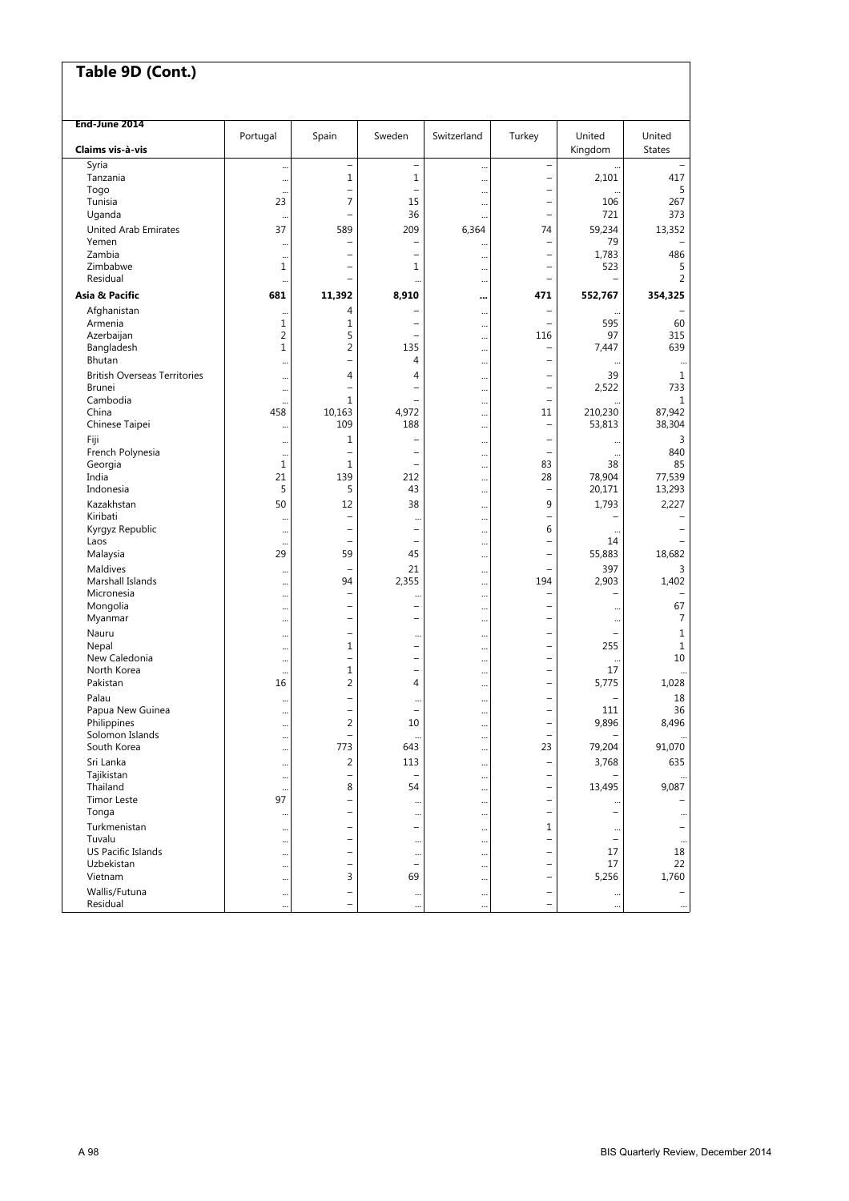#### **End-June 2014** Portugal Spain Sweden Switzerland Turkey United United **Claims vis-à-vis** States **Claims vis-à-vis** States **Albert (1999)** (States Albert (1999) (States Albert (1999) (States Albert (1999) (States Albert (1999) (States Albert (1999) (States Albert (1999) (States Albert (1999) Syria ... – ... – ... – ... – ... – ... – ... – ... – ... – ... – ... – ... – ... – ... – ... – ... – ... – .. Tanzania ... 1 1 ... – 2,101 417 Togo ... – ... – ... – ... – ... – ... – ... ... ... ... ... ... ... ... ... ... 5 Tunisia 23 7 15 ... – 106 267 Uganda ... – 1 ... – 36 ... – 373 ... – 1 ... – 721 373 United Arab Emirates 13,352 13,352 13,352 13,352 13,352 13,352 13,352 Yemen ... – ... – – – ... – ... – ... – ... 79 – ... Zambia ... – ... – – – ... – – ... – 1,783 486 Zimbabwe 1 – 1 ... – 523 5 Residual ... – ... ... – – 2 **Asia & Pacific 681 11,392 8,910 ... 471 552,767 354,325**  Afghanistan ... 4 – ... – ... – Armenia 1 1 – ... – 595 60 Azerbaijan 2 5 – ... 116 97 315 Bangladesh 1 2 135 ... – 7,447 639 Bhutan ... – 4 ... – ... ... British Overseas Territories ...  $\begin{vmatrix} 4 & 4 & 4 \\ 2,522 & 39 \\ 33 & 23 \end{vmatrix}$  ...  $\begin{vmatrix} 4 & 4 & 4 \\ -1 & 4 & 4 \\ 2,522 & 733 \end{vmatrix}$  ... Brunei ... – ... – – ... – ... – ... – ... – ... 2,522 733 Cambodia ... 1 – ... – ... 1 China 458 10,163 4,972 ... 11 210,230 87,942 Chinese Taipei ... 109 188 ... – 53,813 38,304 Fiji ... 1 – ... – ... 3 French Polynesia ... – – ... – ... 840 Georgia 1 1 – ... 83 38 85 India 21 139 212 ... 28 78,904 77,539 Indonesia 5 5 43 ... – 20,171 13,293 Kazakhstan 50 12 38 ... 9 1,793 2,227 Kiribati ... – ... – ... – ... ... – ... – ... – ... – ... – ... – ... – ... – ... – ... – ... – ... Kiribati ... – ... – ... – ... – ... – ... – ... – ... – ... – ... – ... – ... – .<br>Kyrgyz Republic ... – ... – ... – ... – ... – ... – ... – ... – ... – ... – ... – ... – ... – ... – ... – ... Laos ... – – ... – 14 – Malaysia 29 59 45 ... – 55,883 18,682 1 ... – 21 ... – 21 ... – 21 ... – 397 ... 3 Marshall Islands ... 94 2,355 ... 194 2,903 1,402<br>Micronesia ... 194 ... 194 2,903 1,402 Micronesia ... – ... – ... – ... ... – ... ... – ... – ... – ... – ... – ... – ... – ... – ... – ... Mongolia ... – ... – – ... – ... – ... – ... – ... 67 Myanmar ... – ... – – – ... – ... – ... – ... 7 Nauru ... – ... – ... – ... ... – ... – ... ... – ... ... ... ... ... .... ..... Nepal ... 1 – ... – 255 1 New Caledonia . ... – – – ... – – ... – ... – ... ... 10 North Korea ... 1 – ... – 17 ... Pakistan 16 2 4 ... – 5,775 1,028 Palau ... – ... – ... – ... ... – ... ... – ... ... 18 Papua New Guinea ... – – ... – 111 36 Philippines ... 2 10 ... – 9,896 8,496 Solomon Islands .... – ... – ... – ... – ... ... – ... – ... – ... – ... – ... – ... – ... – ... – ... – ... – .<br>South Korea ... – ... – ... – ... – ... – ... – ... – ... – ... – ... – ... – ... – ... – ... – ... – ... – . South Korea ... 773 643 ... 23 79,204 91,070 Sri Lanka ... 2 113 ... – 3,768 635 Tajikistan ... – – ... – – ... Thailand ... 8 54 ... – 13,495 9,087 Timor Leste | 97 – | ... | – | ... | – Tonga ... – ... ... – – ... Turkmenistan ... – ... – ... – ... – ... – ... – ... – ... – ... – ... – ... – ... – ... – ... – ... – ... – ... – ... – ... – ... – ... – ... – ... – ... – ... – ... – ... – ... – ... – ... – ... – ... – ... – ... – ... Tuvalu ... – ... ... – – ... US Pacific Islands ... – ... – ... – ... – ... – ... – ... – ... 17 18<br>Uzbekistan ... – ... – ... – ... – ... – ... – ... 17 12 22 Uzbekistan ... – ... – – – ... – ... – ... – ... – ... 17 22 Vietnam ... 3 69 ... – 5,256 1,760 Wallis/Futuna ... – ... ... – ... – Residual ... – ... ... – ... ...